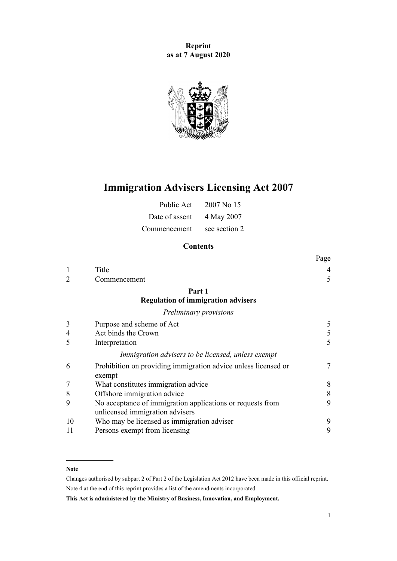**Reprint as at 7 August 2020**



# **Immigration Advisers Licensing Act 2007**

| Public Act     | 2007 No 15    |
|----------------|---------------|
| Date of assent | 4 May 2007    |
| Commencement   | see section 2 |

# **Contents**

|    |                                                                                               | Page           |
|----|-----------------------------------------------------------------------------------------------|----------------|
|    | Title                                                                                         | $\overline{4}$ |
|    | Commencement                                                                                  | 5              |
|    | Part 1                                                                                        |                |
|    | <b>Regulation of immigration advisers</b>                                                     |                |
|    | Preliminary provisions                                                                        |                |
| 3  | Purpose and scheme of Act                                                                     | 5              |
| 4  | Act binds the Crown                                                                           | 5              |
| 5  | Interpretation                                                                                | 5              |
|    | Immigration advisers to be licensed, unless exempt                                            |                |
| 6  | Prohibition on providing immigration advice unless licensed or<br>exempt                      | 7              |
|    | What constitutes immigration advice                                                           | 8              |
| 8  | Offshore immigration advice                                                                   | 8              |
| 9  | No acceptance of immigration applications or requests from<br>unlicensed immigration advisers | 9              |
| 10 | Who may be licensed as immigration adviser                                                    | 9              |
| 11 | Persons exempt from licensing                                                                 | 9              |

#### **Note**

Changes authorised by [subpart 2](http://legislation.govt.nz/pdflink.aspx?id=DLM2998524) of Part 2 of the Legislation Act 2012 have been made in this official reprint. Note 4 at the end of this reprint provides a list of the amendments incorporated.

**This Act is administered by the Ministry of Business, Innovation, and Employment.**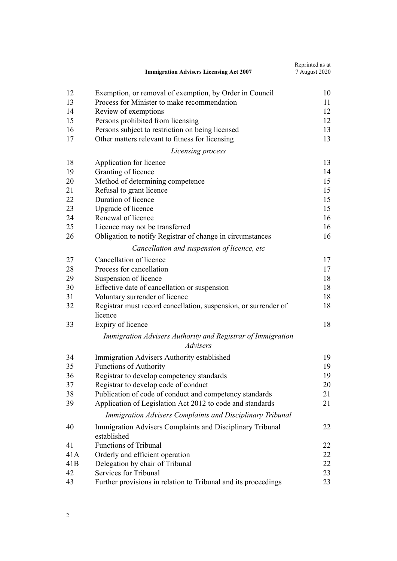|     | <b>Immigration Advisers Licensing Act 2007</b>                             | Reprinted as at<br>7 August 2020 |
|-----|----------------------------------------------------------------------------|----------------------------------|
| 12  | Exemption, or removal of exemption, by Order in Council                    | 10                               |
| 13  | Process for Minister to make recommendation                                | 11                               |
| 14  | Review of exemptions                                                       | 12                               |
| 15  | Persons prohibited from licensing                                          | 12                               |
| 16  | Persons subject to restriction on being licensed                           | 13                               |
| 17  | Other matters relevant to fitness for licensing                            | 13                               |
|     | Licensing process                                                          |                                  |
| 18  | Application for licence                                                    | 13                               |
| 19  | Granting of licence                                                        | 14                               |
| 20  | Method of determining competence                                           | 15                               |
| 21  | Refusal to grant licence                                                   | 15                               |
| 22  | Duration of licence                                                        | 15                               |
| 23  | Upgrade of licence                                                         | 15                               |
| 24  | Renewal of licence                                                         | 16                               |
| 25  | Licence may not be transferred                                             | 16                               |
| 26  | Obligation to notify Registrar of change in circumstances                  | 16                               |
|     | Cancellation and suspension of licence, etc                                |                                  |
| 27  | Cancellation of licence                                                    | 17                               |
| 28  | Process for cancellation                                                   | 17                               |
| 29  | Suspension of licence                                                      | 18                               |
| 30  | Effective date of cancellation or suspension                               | 18                               |
| 31  | Voluntary surrender of licence                                             | 18                               |
| 32  | Registrar must record cancellation, suspension, or surrender of<br>licence | 18                               |
| 33  | Expiry of licence                                                          | 18                               |
|     | Immigration Advisers Authority and Registrar of Immigration                |                                  |
|     | Advisers                                                                   |                                  |
| 34  | Immigration Advisers Authority established                                 | 19                               |
| 35  | <b>Functions of Authority</b>                                              | 19                               |
| 36  | Registrar to develop competency standards                                  | 19                               |
| 37  | Registrar to develop code of conduct                                       | 20                               |
| 38  | Publication of code of conduct and competency standards                    | 21                               |
| 39  | Application of Legislation Act 2012 to code and standards                  | 21                               |
|     | Immigration Advisers Complaints and Disciplinary Tribunal                  |                                  |
| 40  | Immigration Advisers Complaints and Disciplinary Tribunal<br>established   | 22                               |
| 41  | <b>Functions of Tribunal</b>                                               | 22                               |
| 41A | Orderly and efficient operation                                            | 22                               |
| 41B | Delegation by chair of Tribunal                                            | 22                               |
| 42  | Services for Tribunal                                                      | 23                               |
| 43  | Further provisions in relation to Tribunal and its proceedings             | 23                               |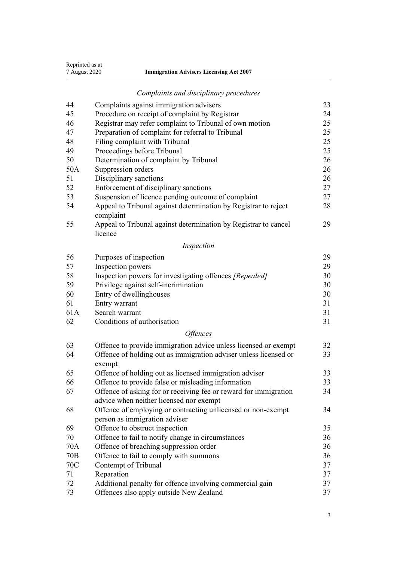| Reprinted as at |                                                |
|-----------------|------------------------------------------------|
| 7 August 2020   | <b>Immigration Advisers Licensing Act 2007</b> |
|                 |                                                |

# *[Complaints and disciplinary procedures](#page-22-0)*

| 44              | Complaints against immigration advisers                                    | 23 |
|-----------------|----------------------------------------------------------------------------|----|
| 45              | Procedure on receipt of complaint by Registrar                             | 24 |
| 46              | Registrar may refer complaint to Tribunal of own motion                    | 25 |
| 47              | Preparation of complaint for referral to Tribunal                          | 25 |
| 48              | Filing complaint with Tribunal                                             | 25 |
| 49              | Proceedings before Tribunal                                                | 25 |
| 50              | Determination of complaint by Tribunal                                     | 26 |
| 50A             | Suppression orders                                                         | 26 |
| 51              | Disciplinary sanctions                                                     | 26 |
| 52              | Enforcement of disciplinary sanctions                                      | 27 |
| 53              | Suspension of licence pending outcome of complaint                         | 27 |
| 54              | Appeal to Tribunal against determination by Registrar to reject            | 28 |
|                 | complaint                                                                  |    |
| 55              | Appeal to Tribunal against determination by Registrar to cancel<br>licence | 29 |
|                 | Inspection                                                                 |    |
| 56              | Purposes of inspection                                                     | 29 |
| 57              | Inspection powers                                                          | 29 |
| 58              | Inspection powers for investigating offences [Repealed]                    | 30 |
| 59              | Privilege against self-incrimination                                       | 30 |
| 60              | Entry of dwellinghouses                                                    | 30 |
| 61              | Entry warrant                                                              | 31 |
| 61A             | Search warrant                                                             | 31 |
| 62              | Conditions of authorisation                                                | 31 |
|                 | <b>Offences</b>                                                            |    |
| 63              | Offence to provide immigration advice unless licensed or exempt            | 32 |
| 64              | Offence of holding out as immigration adviser unless licensed or           | 33 |
|                 | exempt                                                                     |    |
| 65              | Offence of holding out as licensed immigration adviser                     | 33 |
| 66              | Offence to provide false or misleading information                         | 33 |
| 67              | Offence of asking for or receiving fee or reward for immigration           | 34 |
|                 | advice when neither licensed nor exempt                                    |    |
| 68              | Offence of employing or contracting unlicensed or non-exempt               | 34 |
|                 | person as immigration adviser                                              |    |
| 69              | Offence to obstruct inspection                                             | 35 |
| 70              | Offence to fail to notify change in circumstances                          | 36 |
| 70A             | Offence of breaching suppression order                                     | 36 |
| 70 <sub>B</sub> | Offence to fail to comply with summons                                     | 36 |
| 70C             | Contempt of Tribunal                                                       | 37 |
| 71              | Reparation                                                                 | 37 |
| 72              | Additional penalty for offence involving commercial gain                   | 37 |
| 73              | Offences also apply outside New Zealand                                    | 37 |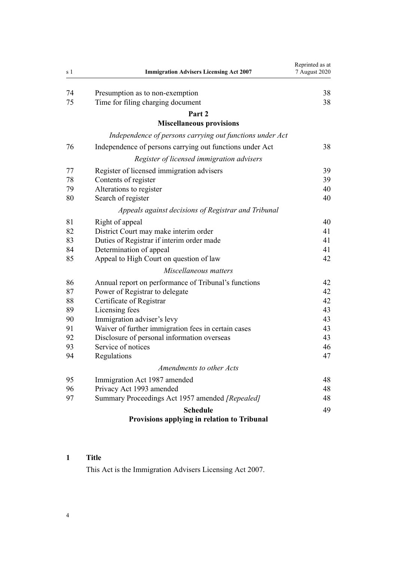<span id="page-3-0"></span>

| s 1 | <b>Immigration Advisers Licensing Act 2007</b>           | Reprinted as at<br>7 August 2020 |
|-----|----------------------------------------------------------|----------------------------------|
|     |                                                          |                                  |
| 74  | Presumption as to non-exemption                          | 38                               |
| 75  | Time for filing charging document                        | 38                               |
|     | Part 2                                                   |                                  |
|     | <b>Miscellaneous provisions</b>                          |                                  |
|     | Independence of persons carrying out functions under Act |                                  |
| 76  | Independence of persons carrying out functions under Act | 38                               |
|     | Register of licensed immigration advisers                |                                  |
| 77  | Register of licensed immigration advisers                | 39                               |
| 78  | Contents of register                                     | 39                               |
| 79  | Alterations to register                                  | 40                               |
| 80  | Search of register                                       | 40                               |
|     | Appeals against decisions of Registrar and Tribunal      |                                  |
| 81  | Right of appeal                                          | 40                               |
| 82  | District Court may make interim order                    | 41                               |
| 83  | Duties of Registrar if interim order made                | 41                               |
| 84  | Determination of appeal                                  | 41                               |
| 85  | Appeal to High Court on question of law                  | 42                               |
|     | Miscellaneous matters                                    |                                  |
| 86  | Annual report on performance of Tribunal's functions     | 42                               |
| 87  | Power of Registrar to delegate                           | 42                               |
| 88  | Certificate of Registrar                                 | 42                               |
| 89  | Licensing fees                                           | 43                               |
| 90  | Immigration adviser's levy                               | 43                               |
| 91  | Waiver of further immigration fees in certain cases      | 43                               |
| 92  | Disclosure of personal information overseas              | 43                               |
| 93  | Service of notices                                       | 46                               |
| 94  | Regulations                                              | 47                               |
|     | Amendments to other Acts                                 |                                  |
| 95  | Immigration Act 1987 amended                             | 48                               |
| 96  | Privacy Act 1993 amended                                 | 48                               |
| 97  | Summary Proceedings Act 1957 amended [Repealed]          | 48                               |
|     | <b>Schedule</b>                                          | 49                               |
|     | Provisions applying in relation to Tribunal              |                                  |

# **Title**

This Act is the Immigration Advisers Licensing Act 2007.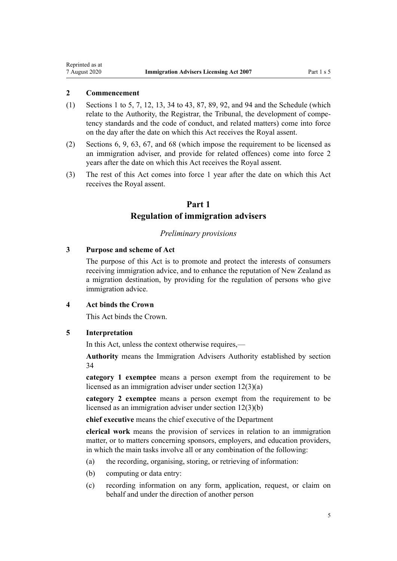## <span id="page-4-0"></span>**2 Commencement**

- (1) [Sections 1 to 5](#page-3-0), [7,](#page-7-0) [12](#page-9-0), [13,](#page-10-0) [34 to 43](#page-18-0), [87,](#page-41-0) [89](#page-42-0), [92,](#page-42-0) and [94](#page-46-0) and the [Schedule](#page-48-0) (which relate to the Authority, the Registrar, the Tribunal, the development of competency standards and the code of conduct, and related matters) come into force on the day after the date on which this Act receives the Royal assent.
- (2) [Sections 6,](#page-6-0) [9,](#page-8-0) [63](#page-31-0), [67](#page-33-0), and [68](#page-33-0) (which impose the requirement to be licensed as an immigration adviser, and provide for related offences) come into force 2 years after the date on which this Act receives the Royal assent.
- (3) The rest of this Act comes into force 1 year after the date on which this Act receives the Royal assent.

# **Part 1 Regulation of immigration advisers**

#### *Preliminary provisions*

## **3 Purpose and scheme of Act**

The purpose of this Act is to promote and protect the interests of consumers receiving immigration advice, and to enhance the reputation of New Zealand as a migration destination, by providing for the regulation of persons who give immigration advice.

## **4 Act binds the Crown**

This Act binds the Crown.

## **5 Interpretation**

In this Act, unless the context otherwise requires,—

**Authority** means the Immigration Advisers Authority established by [section](#page-18-0) [34](#page-18-0)

**category 1 exemptee** means a person exempt from the requirement to be licensed as an immigration adviser under [section 12\(3\)\(a\)](#page-9-0)

**category 2 exemptee** means a person exempt from the requirement to be licensed as an immigration adviser under [section 12\(3\)\(b\)](#page-9-0)

**chief executive** means the chief executive of the Department

**clerical work** means the provision of services in relation to an immigration matter, or to matters concerning sponsors, employers, and education providers, in which the main tasks involve all or any combination of the following:

- (a) the recording, organising, storing, or retrieving of information:
- (b) computing or data entry:
- (c) recording information on any form, application, request, or claim on behalf and under the direction of another person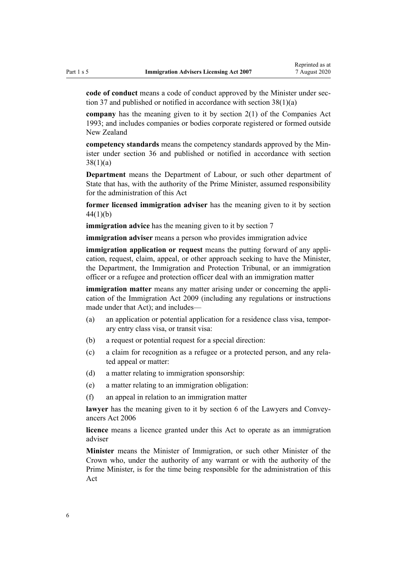**code of conduct** means a code of conduct approved by the Minister under [sec](#page-19-0)[tion 37](#page-19-0) and published or notified in accordance with [section 38\(1\)\(a\)](#page-20-0)

**company** has the meaning given to it by [section 2\(1\)](http://legislation.govt.nz/pdflink.aspx?id=DLM319576) of the Companies Act 1993; and includes companies or bodies corporate registered or formed outside New Zealand

**competency standards** means the competency standards approved by the Minister under [section 36](#page-18-0) and published or notified in accordance with [section](#page-20-0) [38\(1\)\(a\)](#page-20-0)

**Department** means the Department of Labour, or such other department of State that has, with the authority of the Prime Minister, assumed responsibility for the administration of this Act

**former licensed immigration adviser** has the meaning given to it by [section](#page-22-0) [44\(1\)\(b\)](#page-22-0)

**immigration advice** has the meaning given to it by [section 7](#page-7-0)

**immigration adviser** means a person who provides immigration advice

**immigration application or request** means the putting forward of any application, request, claim, appeal, or other approach seeking to have the Minister, the Department, the Immigration and Protection Tribunal, or an immigration officer or a refugee and protection officer deal with an immigration matter

**immigration matter** means any matter arising under or concerning the application of the [Immigration Act 2009](http://legislation.govt.nz/pdflink.aspx?id=DLM1440300) (including any regulations or instructions made under that Act); and includes—

- (a) an application or potential application for a residence class visa, temporary entry class visa, or transit visa:
- (b) a request or potential request for a special direction:
- (c) a claim for recognition as a refugee or a protected person, and any related appeal or matter:
- (d) a matter relating to immigration sponsorship:
- (e) a matter relating to an immigration obligation:
- (f) an appeal in relation to an immigration matter

**lawyer** has the meaning given to it by [section 6](http://legislation.govt.nz/pdflink.aspx?id=DLM364948) of the Lawyers and Conveyancers Act 2006

**licence** means a licence granted under this Act to operate as an immigration adviser

**Minister** means the Minister of Immigration, or such other Minister of the Crown who, under the authority of any warrant or with the authority of the Prime Minister, is for the time being responsible for the administration of this Act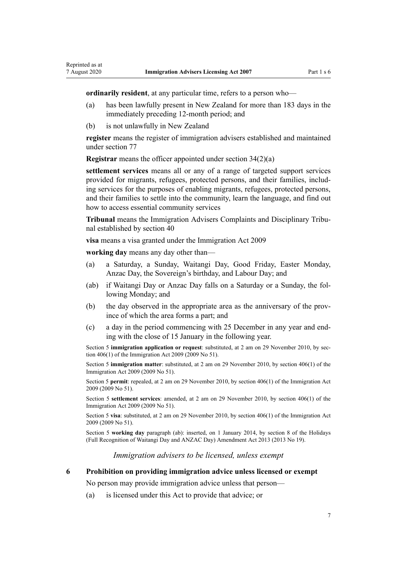<span id="page-6-0"></span>**ordinarily resident**, at any particular time, refers to a person who—

- (a) has been lawfully present in New Zealand for more than 183 days in the immediately preceding 12-month period; and
- (b) is not unlawfully in New Zealand

**register** means the register of immigration advisers established and maintained under [section 77](#page-38-0)

**Registrar** means the officer appointed under [section 34\(2\)\(a\)](#page-18-0)

**settlement services** means all or any of a range of targeted support services provided for migrants, refugees, protected persons, and their families, including services for the purposes of enabling migrants, refugees, protected persons, and their families to settle into the community, learn the language, and find out how to access essential community services

**Tribunal** means the Immigration Advisers Complaints and Disciplinary Tribunal established by [section 40](#page-21-0)

**visa** means a visa granted under the [Immigration Act 2009](http://legislation.govt.nz/pdflink.aspx?id=DLM1440300)

**working day** means any day other than—

- (a) a Saturday, a Sunday, Waitangi Day, Good Friday, Easter Monday, Anzac Day, the Sovereign's birthday, and Labour Day; and
- (ab) if Waitangi Day or Anzac Day falls on a Saturday or a Sunday, the following Monday; and
- (b) the day observed in the appropriate area as the anniversary of the province of which the area forms a part; and
- (c) a day in the period commencing with 25 December in any year and ending with the close of 15 January in the following year.

Section 5 **immigration application or request**: substituted, at 2 am on 29 November 2010, by [sec](http://legislation.govt.nz/pdflink.aspx?id=DLM1441347)[tion 406\(1\)](http://legislation.govt.nz/pdflink.aspx?id=DLM1441347) of the Immigration Act 2009 (2009 No 51).

Section 5 **immigration matter**: substituted, at 2 am on 29 November 2010, by [section 406\(1\)](http://legislation.govt.nz/pdflink.aspx?id=DLM1441347) of the Immigration Act 2009 (2009 No 51).

Section 5 **permit**: repealed, at 2 am on 29 November 2010, by [section 406\(1\)](http://legislation.govt.nz/pdflink.aspx?id=DLM1441347) of the Immigration Act 2009 (2009 No 51).

Section 5 **settlement services**: amended, at 2 am on 29 November 2010, by [section 406\(1\)](http://legislation.govt.nz/pdflink.aspx?id=DLM1441347) of the Immigration Act 2009 (2009 No 51).

Section 5 **visa**: substituted, at 2 am on 29 November 2010, by [section 406\(1\)](http://legislation.govt.nz/pdflink.aspx?id=DLM1441347) of the Immigration Act 2009 (2009 No 51).

Section 5 **working day** paragraph (ab): inserted, on 1 January 2014, by [section 8](http://legislation.govt.nz/pdflink.aspx?id=DLM4929207) of the Holidays (Full Recognition of Waitangi Day and ANZAC Day) Amendment Act 2013 (2013 No 19).

*Immigration advisers to be licensed, unless exempt*

**6 Prohibition on providing immigration advice unless licensed or exempt**

No person may provide immigration advice unless that person—

(a) is licensed under this Act to provide that advice; or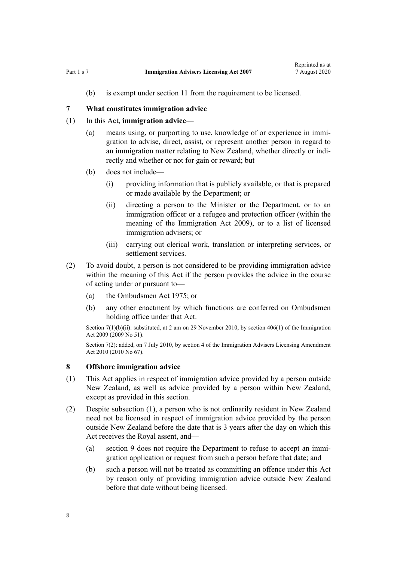<span id="page-7-0"></span>(b) is exempt under [section 11](#page-8-0) from the requirement to be licensed.

#### **7 What constitutes immigration advice**

## (1) In this Act, **immigration advice**—

- (a) means using, or purporting to use, knowledge of or experience in immigration to advise, direct, assist, or represent another person in regard to an immigration matter relating to New Zealand, whether directly or indirectly and whether or not for gain or reward; but
- (b) does not include—
	- (i) providing information that is publicly available, or that is prepared or made available by the Department; or
	- (ii) directing a person to the Minister or the Department, or to an immigration officer or a refugee and protection officer (within the meaning of the [Immigration Act 2009](http://legislation.govt.nz/pdflink.aspx?id=DLM1440300)), or to a list of licensed immigration advisers; or
	- (iii) carrying out clerical work, translation or interpreting services, or settlement services.
- (2) To avoid doubt, a person is not considered to be providing immigration advice within the meaning of this Act if the person provides the advice in the course of acting under or pursuant to—
	- (a) the [Ombudsmen Act 1975](http://legislation.govt.nz/pdflink.aspx?id=DLM430983); or
	- (b) any other enactment by which functions are conferred on Ombudsmen holding office under that Act.

Section 7(1)(b)(ii): substituted, at 2 am on 29 November 2010, by [section 406\(1\)](http://legislation.govt.nz/pdflink.aspx?id=DLM1441347) of the Immigration Act 2009 (2009 No 51).

Section 7(2): added, on 7 July 2010, by [section 4](http://legislation.govt.nz/pdflink.aspx?id=DLM3042305) of the Immigration Advisers Licensing Amendment Act 2010 (2010 No 67).

#### **8 Offshore immigration advice**

- (1) This Act applies in respect of immigration advice provided by a person outside New Zealand, as well as advice provided by a person within New Zealand, except as provided in this section.
- (2) Despite subsection (1), a person who is not ordinarily resident in New Zealand need not be licensed in respect of immigration advice provided by the person outside New Zealand before the date that is 3 years after the day on which this Act receives the Royal assent, and—
	- (a) [section 9](#page-8-0) does not require the Department to refuse to accept an immigration application or request from such a person before that date; and
	- (b) such a person will not be treated as committing an offence under this Act by reason only of providing immigration advice outside New Zealand before that date without being licensed.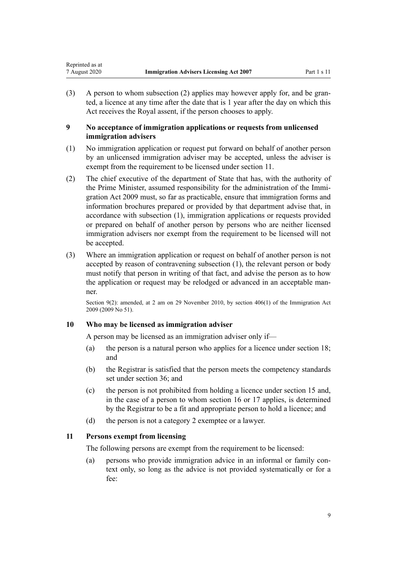<span id="page-8-0"></span>(3) A person to whom subsection (2) applies may however apply for, and be granted, a licence at any time after the date that is 1 year after the day on which this Act receives the Royal assent, if the person chooses to apply.

## **9 No acceptance of immigration applications or requests from unlicensed immigration advisers**

- (1) No immigration application or request put forward on behalf of another person by an unlicensed immigration adviser may be accepted, unless the adviser is exempt from the requirement to be licensed under section 11.
- (2) The chief executive of the department of State that has, with the authority of the Prime Minister, assumed responsibility for the administration of the [Immi](http://legislation.govt.nz/pdflink.aspx?id=DLM1440300)[gration Act 2009](http://legislation.govt.nz/pdflink.aspx?id=DLM1440300) must, so far as practicable, ensure that immigration forms and information brochures prepared or provided by that department advise that, in accordance with subsection (1), immigration applications or requests provided or prepared on behalf of another person by persons who are neither licensed immigration advisers nor exempt from the requirement to be licensed will not be accepted.
- (3) Where an immigration application or request on behalf of another person is not accepted by reason of contravening subsection (1), the relevant person or body must notify that person in writing of that fact, and advise the person as to how the application or request may be relodged or advanced in an acceptable manner.

Section 9(2): amended, at 2 am on 29 November 2010, by [section 406\(1\)](http://legislation.govt.nz/pdflink.aspx?id=DLM1441347) of the Immigration Act 2009 (2009 No 51).

## **10 Who may be licensed as immigration adviser**

A person may be licensed as an immigration adviser only if—

- (a) the person is a natural person who applies for a licence under [section 18;](#page-12-0) and
- (b) the Registrar is satisfied that the person meets the competency standards set under [section 36;](#page-18-0) and
- (c) the person is not prohibited from holding a licence under [section 15](#page-11-0) and, in the case of a person to whom [section 16](#page-12-0) or [17](#page-12-0) applies, is determined by the Registrar to be a fit and appropriate person to hold a licence; and
- (d) the person is not a category 2 exemptee or a lawyer.

## **11 Persons exempt from licensing**

The following persons are exempt from the requirement to be licensed:

(a) persons who provide immigration advice in an informal or family context only, so long as the advice is not provided systematically or for a fee: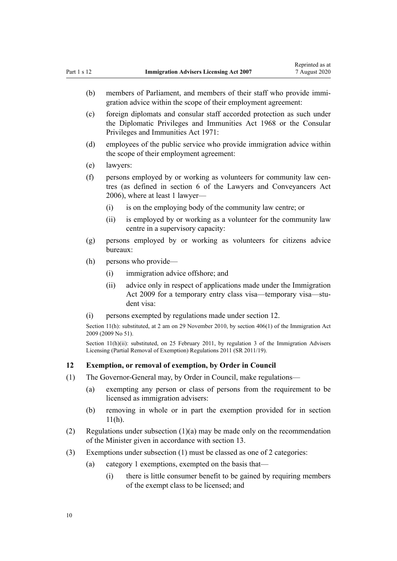- <span id="page-9-0"></span>(b) members of Parliament, and members of their staff who provide immigration advice within the scope of their employment agreement:
- (c) foreign diplomats and consular staff accorded protection as such under the [Diplomatic Privileges and Immunities Act 1968](http://legislation.govt.nz/pdflink.aspx?id=DLM387495) or the [Consular](http://legislation.govt.nz/pdflink.aspx?id=DLM397288) [Privileges and Immunities Act 1971](http://legislation.govt.nz/pdflink.aspx?id=DLM397288):
- (d) employees of the public service who provide immigration advice within the scope of their employment agreement:
- (e) lawyers:
- (f) persons employed by or working as volunteers for community law centres (as defined in [section 6](http://legislation.govt.nz/pdflink.aspx?id=DLM364948) of the Lawyers and Conveyancers Act 2006), where at least 1 lawyer—
	- (i) is on the employing body of the community law centre; or
	- (ii) is employed by or working as a volunteer for the community law centre in a supervisory capacity:
- (g) persons employed by or working as volunteers for citizens advice bureaux:
- (h) persons who provide—
	- (i) immigration advice offshore; and
	- (ii) advice only in respect of applications made under the Immigration Act 2009 for a temporary entry class visa—temporary visa—student visa:
- (i) persons exempted by regulations made under section 12.

Section 11(h): substituted, at 2 am on 29 November 2010, by [section 406\(1\)](http://legislation.govt.nz/pdflink.aspx?id=DLM1441347) of the Immigration Act 2009 (2009 No 51).

Section 11(h)(ii): substituted, on 25 February 2011, by [regulation 3](http://legislation.govt.nz/pdflink.aspx?id=DLM3547906) of the Immigration Advisers Licensing (Partial Removal of Exemption) Regulations 2011 (SR 2011/19).

#### **12 Exemption, or removal of exemption, by Order in Council**

- (1) The Governor-General may, by Order in Council, make regulations—
	- (a) exempting any person or class of persons from the requirement to be licensed as immigration advisers:
	- (b) removing in whole or in part the exemption provided for in [section](#page-8-0)  $11(h)$ .
- (2) Regulations under subsection (1)(a) may be made only on the recommendation of the Minister given in accordance with [section 13.](#page-10-0)
- (3) Exemptions under subsection (1) must be classed as one of 2 categories:
	- (a) category 1 exemptions, exempted on the basis that—
		- (i) there is little consumer benefit to be gained by requiring members of the exempt class to be licensed; and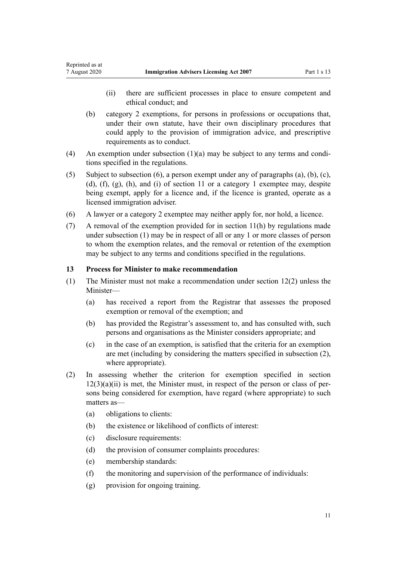- (ii) there are sufficient processes in place to ensure competent and ethical conduct; and
- (b) category 2 exemptions, for persons in professions or occupations that, under their own statute, have their own disciplinary procedures that could apply to the provision of immigration advice, and prescriptive requirements as to conduct.
- (4) An exemption under subsection (1)(a) may be subject to any terms and conditions specified in the regulations.
- (5) Subject to subsection (6), a person exempt under any of paragraphs (a), (b), (c), (d), (f), (g), (h), and (i) of [section 11](#page-8-0) or a category 1 exemptee may, despite being exempt, apply for a licence and, if the licence is granted, operate as a licensed immigration adviser.
- (6) A lawyer or a category 2 exemptee may neither apply for, nor hold, a licence.
- (7) A removal of the exemption provided for in [section 11\(h\)](#page-8-0) by regulations made under subsection (1) may be in respect of all or any 1 or more classes of person to whom the exemption relates, and the removal or retention of the exemption may be subject to any terms and conditions specified in the regulations.

#### **13 Process for Minister to make recommendation**

<span id="page-10-0"></span>Reprinted as at

- (1) The Minister must not make a recommendation under [section 12\(2\)](#page-9-0) unless the Minister—
	- (a) has received a report from the Registrar that assesses the proposed exemption or removal of the exemption; and
	- (b) has provided the Registrar's assessment to, and has consulted with, such persons and organisations as the Minister considers appropriate; and
	- (c) in the case of an exemption, is satisfied that the criteria for an exemption are met (including by considering the matters specified in subsection (2), where appropriate).
- (2) In assessing whether the criterion for exemption specified in [section](#page-9-0)  $12(3)(a)(ii)$  is met, the Minister must, in respect of the person or class of persons being considered for exemption, have regard (where appropriate) to such matters as—
	- (a) obligations to clients:
	- (b) the existence or likelihood of conflicts of interest:
	- (c) disclosure requirements:
	- (d) the provision of consumer complaints procedures:
	- (e) membership standards:
	- (f) the monitoring and supervision of the performance of individuals:
	- (g) provision for ongoing training.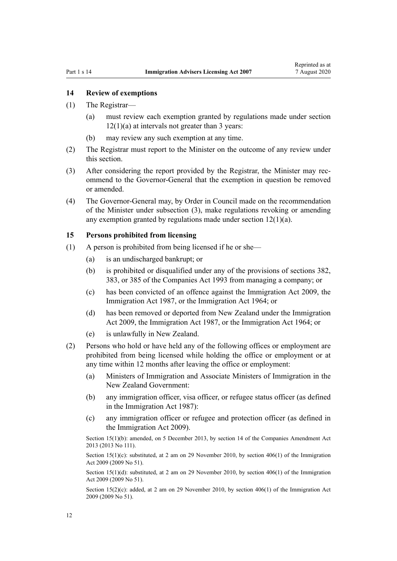#### <span id="page-11-0"></span>**14 Review of exemptions**

- (1) The Registrar—
	- (a) must review each exemption granted by regulations made under [section](#page-9-0)  $12(1)(a)$  at intervals not greater than 3 years:
	- (b) may review any such exemption at any time.
- (2) The Registrar must report to the Minister on the outcome of any review under this section.
- (3) After considering the report provided by the Registrar, the Minister may recommend to the Governor-General that the exemption in question be removed or amended.
- (4) The Governor-General may, by Order in Council made on the recommendation of the Minister under subsection (3), make regulations revoking or amending any exemption granted by regulations made under [section 12\(1\)\(a\).](#page-9-0)

#### **15 Persons prohibited from licensing**

- (1) A person is prohibited from being licensed if he or she—
	- (a) is an undischarged bankrupt; or
	- (b) is prohibited or disqualified under any of the provisions of [sections 382](http://legislation.govt.nz/pdflink.aspx?id=DLM323249), [383](http://legislation.govt.nz/pdflink.aspx?id=DLM323252), or [385](http://legislation.govt.nz/pdflink.aspx?id=DLM323259) of the Companies Act 1993 from managing a company; or
	- (c) has been convicted of an offence against the [Immigration Act 2009,](http://legislation.govt.nz/pdflink.aspx?id=DLM1440300) the [Immigration Act 1987](http://legislation.govt.nz/pdflink.aspx?id=DLM108017), or the Immigration Act 1964; or
	- (d) has been removed or deported from New Zealand under the [Immigration](http://legislation.govt.nz/pdflink.aspx?id=DLM1440300) [Act 2009,](http://legislation.govt.nz/pdflink.aspx?id=DLM1440300) the [Immigration Act 1987](http://legislation.govt.nz/pdflink.aspx?id=DLM108017), or the Immigration Act 1964; or
	- (e) is unlawfully in New Zealand.
- (2) Persons who hold or have held any of the following offices or employment are prohibited from being licensed while holding the office or employment or at any time within 12 months after leaving the office or employment:
	- (a) Ministers of Immigration and Associate Ministers of Immigration in the New Zealand Government:
	- (b) any immigration officer, visa officer, or refugee status officer (as defined in the [Immigration Act 1987\)](http://legislation.govt.nz/pdflink.aspx?id=DLM108017):
	- (c) any immigration officer or refugee and protection officer (as defined in the [Immigration Act 2009\)](http://legislation.govt.nz/pdflink.aspx?id=DLM1440300).

Section 15(1)(b): amended, on 5 December 2013, by [section 14](http://legislation.govt.nz/pdflink.aspx?id=DLM5620822) of the Companies Amendment Act 2013 (2013 No 111).

Section  $15(1)(c)$ : substituted, at 2 am on 29 November 2010, by [section 406\(1\)](http://legislation.govt.nz/pdflink.aspx?id=DLM1441347) of the Immigration Act 2009 (2009 No 51).

Section 15(1)(d): substituted, at 2 am on 29 November 2010, by [section 406\(1\)](http://legislation.govt.nz/pdflink.aspx?id=DLM1441347) of the Immigration Act 2009 (2009 No 51).

Section 15(2)(c): added, at 2 am on 29 November 2010, by [section 406\(1\)](http://legislation.govt.nz/pdflink.aspx?id=DLM1441347) of the Immigration Act 2009 (2009 No 51).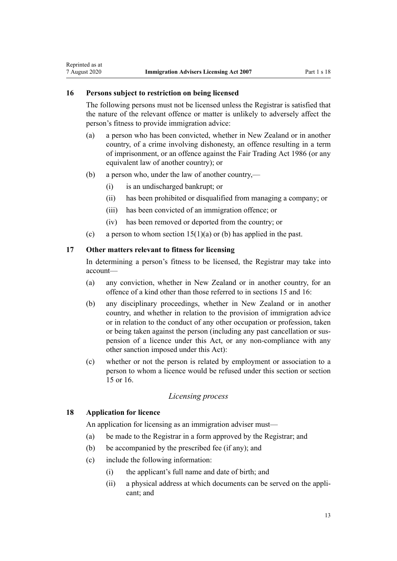#### **16 Persons subject to restriction on being licensed**

<span id="page-12-0"></span>Reprinted as at

The following persons must not be licensed unless the Registrar is satisfied that the nature of the relevant offence or matter is unlikely to adversely affect the person's fitness to provide immigration advice:

- (a) a person who has been convicted, whether in New Zealand or in another country, of a crime involving dishonesty, an offence resulting in a term of imprisonment, or an offence against the [Fair Trading Act 1986](http://legislation.govt.nz/pdflink.aspx?id=DLM96438) (or any equivalent law of another country); or
- (b) a person who, under the law of another country,—
	- (i) is an undischarged bankrupt; or
	- (ii) has been prohibited or disqualified from managing a company; or
	- (iii) has been convicted of an immigration offence; or
	- (iv) has been removed or deported from the country; or
- (c) a person to whom section  $15(1)(a)$  or (b) has applied in the past.

## **17 Other matters relevant to fitness for licensing**

In determining a person's fitness to be licensed, the Registrar may take into account—

- (a) any conviction, whether in New Zealand or in another country, for an offence of a kind other than those referred to in [sections 15](#page-11-0) and 16:
- (b) any disciplinary proceedings, whether in New Zealand or in another country, and whether in relation to the provision of immigration advice or in relation to the conduct of any other occupation or profession, taken or being taken against the person (including any past cancellation or suspension of a licence under this Act, or any non-compliance with any other sanction imposed under this Act):
- (c) whether or not the person is related by employment or association to a person to whom a licence would be refused under this section or [section](#page-11-0) [15](#page-11-0) or 16.

#### *Licensing process*

## **18 Application for licence**

An application for licensing as an immigration adviser must—

- (a) be made to the Registrar in a form approved by the Registrar; and
- (b) be accompanied by the prescribed fee (if any); and
- (c) include the following information:
	- (i) the applicant's full name and date of birth; and
	- (ii) a physical address at which documents can be served on the applicant; and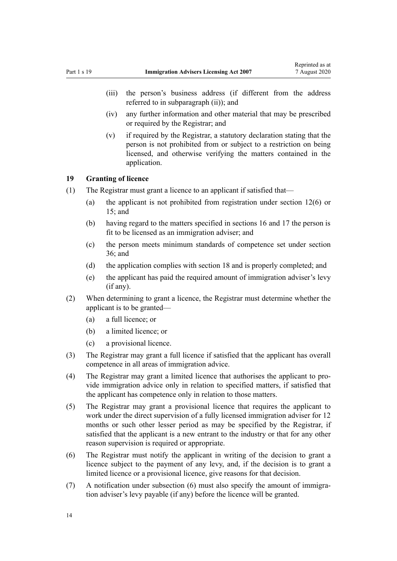- <span id="page-13-0"></span>(iii) the person's business address (if different from the address referred to in subparagraph (ii)); and
- (iv) any further information and other material that may be prescribed or required by the Registrar; and
- (v) if required by the Registrar, a statutory declaration stating that the person is not prohibited from or subject to a restriction on being licensed, and otherwise verifying the matters contained in the application.

## **19 Granting of licence**

- (1) The Registrar must grant a licence to an applicant if satisfied that—
	- (a) the applicant is not prohibited from registration under [section 12\(6\)](#page-9-0) or  $15$  and
	- (b) having regard to the matters specified in [sections 16](#page-12-0) and [17](#page-12-0) the person is fit to be licensed as an immigration adviser; and
	- (c) the person meets minimum standards of competence set under [section](#page-18-0) [36;](#page-18-0) and
	- (d) the application complies with [section 18](#page-12-0) and is properly completed; and
	- (e) the applicant has paid the required amount of immigration adviser's levy (if any).
- (2) When determining to grant a licence, the Registrar must determine whether the applicant is to be granted—
	- (a) a full licence; or
	- (b) a limited licence; or
	- (c) a provisional licence.
- (3) The Registrar may grant a full licence if satisfied that the applicant has overall competence in all areas of immigration advice.
- (4) The Registrar may grant a limited licence that authorises the applicant to provide immigration advice only in relation to specified matters, if satisfied that the applicant has competence only in relation to those matters.
- (5) The Registrar may grant a provisional licence that requires the applicant to work under the direct supervision of a fully licensed immigration adviser for 12 months or such other lesser period as may be specified by the Registrar, if satisfied that the applicant is a new entrant to the industry or that for any other reason supervision is required or appropriate.
- (6) The Registrar must notify the applicant in writing of the decision to grant a licence subject to the payment of any levy, and, if the decision is to grant a limited licence or a provisional licence, give reasons for that decision.
- (7) A notification under subsection (6) must also specify the amount of immigration adviser's levy payable (if any) before the licence will be granted.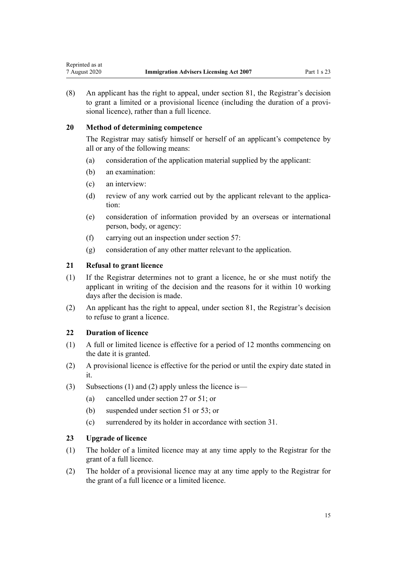(8) An applicant has the right to appeal, under [section 81](#page-39-0), the Registrar's decision to grant a limited or a provisional licence (including the duration of a provisional licence), rather than a full licence.

## **20 Method of determining competence**

The Registrar may satisfy himself or herself of an applicant's competence by all or any of the following means:

- (a) consideration of the application material supplied by the applicant:
- (b) an examination:
- (c) an interview:

<span id="page-14-0"></span>Reprinted as at

- (d) review of any work carried out by the applicant relevant to the application:
- (e) consideration of information provided by an overseas or international person, body, or agency:
- (f) carrying out an inspection under [section 57:](#page-28-0)
- (g) consideration of any other matter relevant to the application.

## **21 Refusal to grant licence**

- (1) If the Registrar determines not to grant a licence, he or she must notify the applicant in writing of the decision and the reasons for it within 10 working days after the decision is made.
- (2) An applicant has the right to appeal, under [section 81](#page-39-0), the Registrar's decision to refuse to grant a licence.

## **22 Duration of licence**

- (1) A full or limited licence is effective for a period of 12 months commencing on the date it is granted.
- (2) A provisional licence is effective for the period or until the expiry date stated in it.
- (3) Subsections (1) and (2) apply unless the licence is—
	- (a) cancelled under [section 27](#page-16-0) or [51](#page-25-0); or
	- (b) suspended under [section 51](#page-25-0) or [53;](#page-26-0) or
	- (c) surrendered by its holder in accordance with [section 31](#page-17-0).

# **23 Upgrade of licence**

- (1) The holder of a limited licence may at any time apply to the Registrar for the grant of a full licence.
- (2) The holder of a provisional licence may at any time apply to the Registrar for the grant of a full licence or a limited licence.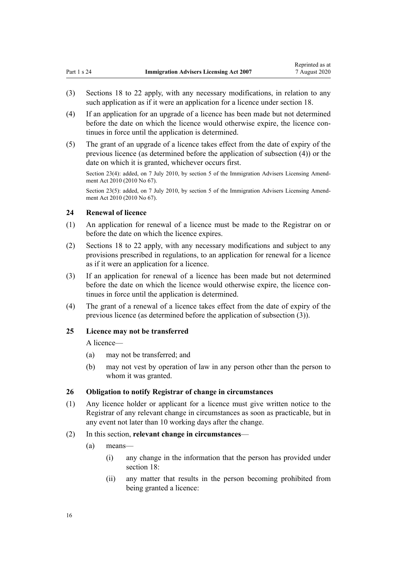- <span id="page-15-0"></span>(3) [Sections 18 to 22](#page-12-0) apply, with any necessary modifications, in relation to any such application as if it were an application for a licence under [section 18](#page-12-0).
- (4) If an application for an upgrade of a licence has been made but not determined before the date on which the licence would otherwise expire, the licence continues in force until the application is determined.
- (5) The grant of an upgrade of a licence takes effect from the date of expiry of the previous licence (as determined before the application of subsection (4)) or the date on which it is granted, whichever occurs first.

Section 23(4): added, on 7 July 2010, by [section 5](http://legislation.govt.nz/pdflink.aspx?id=DLM3042306) of the Immigration Advisers Licensing Amendment Act 2010 (2010 No 67).

Section 23(5): added, on 7 July 2010, by [section 5](http://legislation.govt.nz/pdflink.aspx?id=DLM3042306) of the Immigration Advisers Licensing Amendment Act 2010 (2010 No 67).

### **24 Renewal of licence**

- (1) An application for renewal of a licence must be made to the Registrar on or before the date on which the licence expires.
- (2) [Sections 18 to 22](#page-12-0) apply, with any necessary modifications and subject to any provisions prescribed in regulations, to an application for renewal for a licence as if it were an application for a licence.
- (3) If an application for renewal of a licence has been made but not determined before the date on which the licence would otherwise expire, the licence continues in force until the application is determined.
- (4) The grant of a renewal of a licence takes effect from the date of expiry of the previous licence (as determined before the application of subsection (3)).

## **25 Licence may not be transferred**

A licence—

- (a) may not be transferred; and
- (b) may not vest by operation of law in any person other than the person to whom it was granted.

## **26 Obligation to notify Registrar of change in circumstances**

- (1) Any licence holder or applicant for a licence must give written notice to the Registrar of any relevant change in circumstances as soon as practicable, but in any event not later than 10 working days after the change.
- (2) In this section, **relevant change in circumstances**
	- (a) means—
		- (i) any change in the information that the person has provided under [section 18](#page-12-0):
		- (ii) any matter that results in the person becoming prohibited from being granted a licence: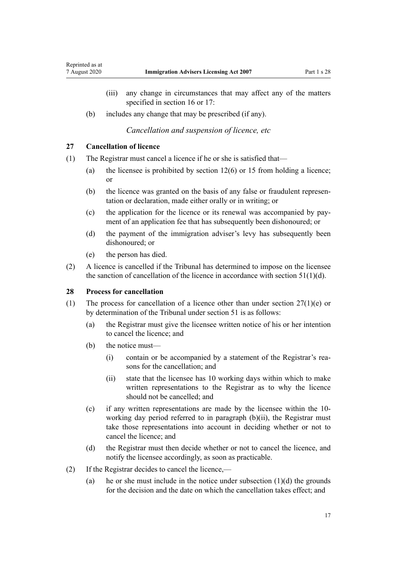- <span id="page-16-0"></span>(iii) any change in circumstances that may affect any of the matters specified in [section 16](#page-12-0) or [17](#page-12-0):
- (b) includes any change that may be prescribed (if any).

*Cancellation and suspension of licence, etc*

## **27 Cancellation of licence**

- (1) The Registrar must cancel a licence if he or she is satisfied that—
	- (a) the licensee is prohibited by [section 12\(6\)](#page-9-0) or [15](#page-11-0) from holding a licence; or
	- (b) the licence was granted on the basis of any false or fraudulent representation or declaration, made either orally or in writing; or
	- (c) the application for the licence or its renewal was accompanied by payment of an application fee that has subsequently been dishonoured; or
	- (d) the payment of the immigration adviser's levy has subsequently been dishonoured; or
	- (e) the person has died.
- (2) A licence is cancelled if the Tribunal has determined to impose on the licensee the sanction of cancellation of the licence in accordance with section  $51(1)(d)$ .

## **28 Process for cancellation**

- (1) The process for cancellation of a licence other than under section  $27(1)(e)$  or by determination of the Tribunal under [section 51](#page-25-0) is as follows:
	- (a) the Registrar must give the licensee written notice of his or her intention to cancel the licence; and
	- (b) the notice must—
		- (i) contain or be accompanied by a statement of the Registrar's reasons for the cancellation; and
		- (ii) state that the licensee has 10 working days within which to make written representations to the Registrar as to why the licence should not be cancelled; and
	- (c) if any written representations are made by the licensee within the 10 working day period referred to in paragraph (b)(ii), the Registrar must take those representations into account in deciding whether or not to cancel the licence; and
	- (d) the Registrar must then decide whether or not to cancel the licence, and notify the licensee accordingly, as soon as practicable.
- (2) If the Registrar decides to cancel the licence,—
	- (a) he or she must include in the notice under subsection  $(1)(d)$  the grounds for the decision and the date on which the cancellation takes effect; and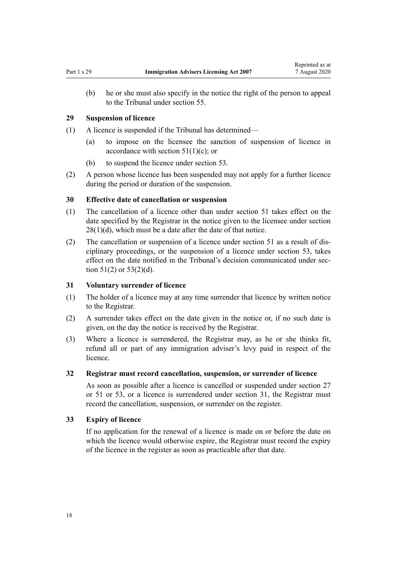<span id="page-17-0"></span>(b) he or she must also specify in the notice the right of the person to appeal to the Tribunal under [section 55](#page-28-0).

#### **29 Suspension of licence**

- (1) A licence is suspended if the Tribunal has determined—
	- (a) to impose on the licensee the sanction of suspension of licence in accordance with section  $51(1)(c)$ ; or
	- (b) to suspend the licence under [section 53](#page-26-0).
- (2) A person whose licence has been suspended may not apply for a further licence during the period or duration of the suspension.

#### **30 Effective date of cancellation or suspension**

- (1) The cancellation of a licence other than under [section 51](#page-25-0) takes effect on the date specified by the Registrar in the notice given to the licensee under [section](#page-16-0)  $28(1)(d)$ , which must be a date after the date of that notice.
- (2) The cancellation or suspension of a licence under [section 51](#page-25-0) as a result of disciplinary proceedings, or the suspension of a licence under [section 53](#page-26-0), takes effect on the date notified in the Tribunal's decision communicated under [sec](#page-25-0)tion  $51(2)$  or  $53(2)(d)$ .

#### **31 Voluntary surrender of licence**

- (1) The holder of a licence may at any time surrender that licence by written notice to the Registrar.
- (2) A surrender takes effect on the date given in the notice or, if no such date is given, on the day the notice is received by the Registrar.
- (3) Where a licence is surrendered, the Registrar may, as he or she thinks fit, refund all or part of any immigration adviser's levy paid in respect of the licence.

#### **32 Registrar must record cancellation, suspension, or surrender of licence**

As soon as possible after a licence is cancelled or suspended under [section 27](#page-16-0) or [51](#page-25-0) or [53](#page-26-0), or a licence is surrendered under section 31, the Registrar must record the cancellation, suspension, or surrender on the register.

## **33 Expiry of licence**

If no application for the renewal of a licence is made on or before the date on which the licence would otherwise expire, the Registrar must record the expiry of the licence in the register as soon as practicable after that date.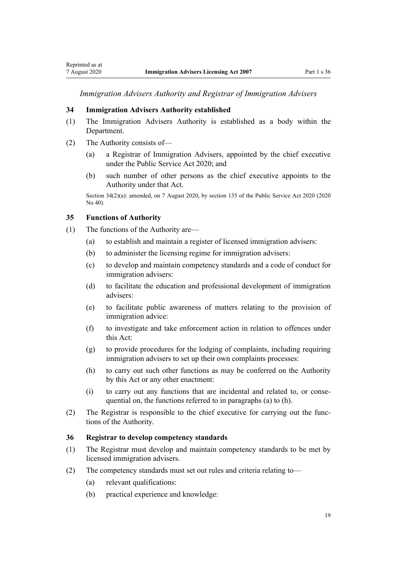<span id="page-18-0"></span>*Immigration Advisers Authority and Registrar of Immigration Advisers*

#### **34 Immigration Advisers Authority established**

- (1) The Immigration Advisers Authority is established as a body within the Department.
- (2) The Authority consists of—
	- (a) a Registrar of Immigration Advisers, appointed by the chief executive under the [Public Service Act 2020](http://legislation.govt.nz/pdflink.aspx?id=LMS106157); and
	- (b) such number of other persons as the chief executive appoints to the Authority under that Act.

Section 34(2)(a): amended, on 7 August 2020, by [section 135](http://legislation.govt.nz/pdflink.aspx?id=LMS176959) of the Public Service Act 2020 (2020 No 40).

## **35 Functions of Authority**

- (1) The functions of the Authority are—
	- (a) to establish and maintain a register of licensed immigration advisers:
	- (b) to administer the licensing regime for immigration advisers:
	- (c) to develop and maintain competency standards and a code of conduct for immigration advisers:
	- (d) to facilitate the education and professional development of immigration advisers:
	- (e) to facilitate public awareness of matters relating to the provision of immigration advice:
	- (f) to investigate and take enforcement action in relation to offences under this Act:
	- (g) to provide procedures for the lodging of complaints, including requiring immigration advisers to set up their own complaints processes:
	- (h) to carry out such other functions as may be conferred on the Authority by this Act or any other enactment:
	- (i) to carry out any functions that are incidental and related to, or consequential on, the functions referred to in paragraphs (a) to (h).
- (2) The Registrar is responsible to the chief executive for carrying out the functions of the Authority.

#### **36 Registrar to develop competency standards**

- (1) The Registrar must develop and maintain competency standards to be met by licensed immigration advisers.
- (2) The competency standards must set out rules and criteria relating to—
	- (a) relevant qualifications:
	- (b) practical experience and knowledge: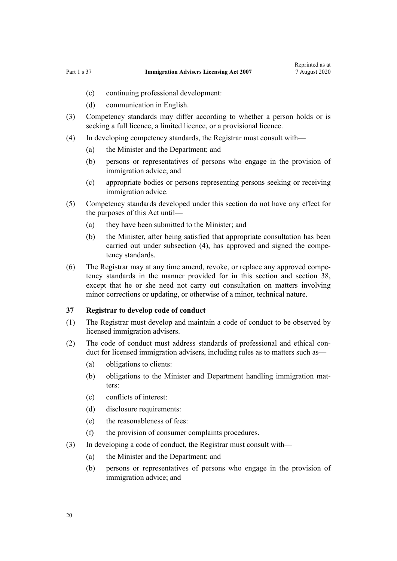- <span id="page-19-0"></span>(c) continuing professional development:
- (d) communication in English.
- (3) Competency standards may differ according to whether a person holds or is seeking a full licence, a limited licence, or a provisional licence.
- (4) In developing competency standards, the Registrar must consult with—
	- (a) the Minister and the Department; and
	- (b) persons or representatives of persons who engage in the provision of immigration advice; and
	- (c) appropriate bodies or persons representing persons seeking or receiving immigration advice.
- (5) Competency standards developed under this section do not have any effect for the purposes of this Act until—
	- (a) they have been submitted to the Minister; and
	- (b) the Minister, after being satisfied that appropriate consultation has been carried out under subsection (4), has approved and signed the competency standards.
- (6) The Registrar may at any time amend, revoke, or replace any approved competency standards in the manner provided for in this section and [section 38](#page-20-0), except that he or she need not carry out consultation on matters involving minor corrections or updating, or otherwise of a minor, technical nature.

#### **37 Registrar to develop code of conduct**

- (1) The Registrar must develop and maintain a code of conduct to be observed by licensed immigration advisers.
- (2) The code of conduct must address standards of professional and ethical conduct for licensed immigration advisers, including rules as to matters such as—
	- (a) obligations to clients:
	- (b) obligations to the Minister and Department handling immigration matters:
	- (c) conflicts of interest:
	- (d) disclosure requirements:
	- (e) the reasonableness of fees:
	- (f) the provision of consumer complaints procedures.
- (3) In developing a code of conduct, the Registrar must consult with—
	- (a) the Minister and the Department; and
	- (b) persons or representatives of persons who engage in the provision of immigration advice; and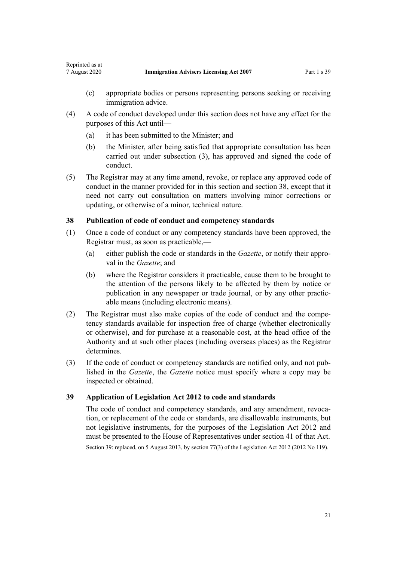- (c) appropriate bodies or persons representing persons seeking or receiving immigration advice.
- (4) A code of conduct developed under this section does not have any effect for the purposes of this Act until—
	- (a) it has been submitted to the Minister; and

<span id="page-20-0"></span>Reprinted as at

- (b) the Minister, after being satisfied that appropriate consultation has been carried out under subsection (3), has approved and signed the code of conduct.
- (5) The Registrar may at any time amend, revoke, or replace any approved code of conduct in the manner provided for in this section and section 38, except that it need not carry out consultation on matters involving minor corrections or updating, or otherwise of a minor, technical nature.

#### **38 Publication of code of conduct and competency standards**

- (1) Once a code of conduct or any competency standards have been approved, the Registrar must, as soon as practicable,—
	- (a) either publish the code or standards in the *Gazette*, or notify their approval in the *Gazette*; and
	- (b) where the Registrar considers it practicable, cause them to be brought to the attention of the persons likely to be affected by them by notice or publication in any newspaper or trade journal, or by any other practicable means (including electronic means).
- (2) The Registrar must also make copies of the code of conduct and the competency standards available for inspection free of charge (whether electronically or otherwise), and for purchase at a reasonable cost, at the head office of the Authority and at such other places (including overseas places) as the Registrar determines.
- (3) If the code of conduct or competency standards are notified only, and not published in the *Gazette*, the *Gazette* notice must specify where a copy may be inspected or obtained.

## **39 Application of Legislation Act 2012 to code and standards**

The code of conduct and competency standards, and any amendment, revocation, or replacement of the code or standards, are disallowable instruments, but not legislative instruments, for the purposes of the [Legislation Act 2012](http://legislation.govt.nz/pdflink.aspx?id=DLM2997643) and must be presented to the House of Representatives under [section 41](http://legislation.govt.nz/pdflink.aspx?id=DLM2998573) of that Act. Section 39: replaced, on 5 August 2013, by [section 77\(3\)](http://legislation.govt.nz/pdflink.aspx?id=DLM2998633) of the Legislation Act 2012 (2012 No 119).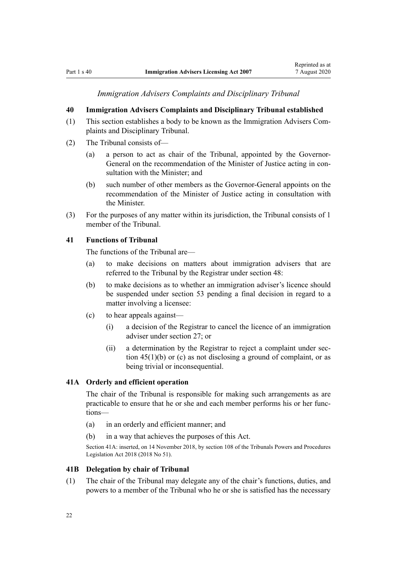*Immigration Advisers Complaints and Disciplinary Tribunal*

## <span id="page-21-0"></span>**40 Immigration Advisers Complaints and Disciplinary Tribunal established**

- (1) This section establishes a body to be known as the Immigration Advisers Complaints and Disciplinary Tribunal.
- (2) The Tribunal consists of—
	- (a) a person to act as chair of the Tribunal, appointed by the Governor-General on the recommendation of the Minister of Justice acting in consultation with the Minister; and
	- (b) such number of other members as the Governor-General appoints on the recommendation of the Minister of Justice acting in consultation with the Minister.
- (3) For the purposes of any matter within its jurisdiction, the Tribunal consists of 1 member of the Tribunal.

## **41 Functions of Tribunal**

The functions of the Tribunal are—

- (a) to make decisions on matters about immigration advisers that are referred to the Tribunal by the Registrar under [section 48:](#page-24-0)
- (b) to make decisions as to whether an immigration adviser's licence should be suspended under [section 53](#page-26-0) pending a final decision in regard to a matter involving a licensee:
- (c) to hear appeals against—
	- (i) a decision of the Registrar to cancel the licence of an immigration adviser under [section 27](#page-16-0); or
	- (ii) a determination by the Registrar to reject a complaint under [sec](#page-23-0)[tion 45\(1\)\(b\) or \(c\)](#page-23-0) as not disclosing a ground of complaint, or as being trivial or inconsequential.

## **41A Orderly and efficient operation**

The chair of the Tribunal is responsible for making such arrangements as are practicable to ensure that he or she and each member performs his or her functions—

- (a) in an orderly and efficient manner; and
- (b) in a way that achieves the purposes of this Act.

Section 41A: inserted, on 14 November 2018, by [section 108](http://legislation.govt.nz/pdflink.aspx?id=DLM7374319) of the Tribunals Powers and Procedures Legislation Act 2018 (2018 No 51).

#### **41B Delegation by chair of Tribunal**

(1) The chair of the Tribunal may delegate any of the chair's functions, duties, and powers to a member of the Tribunal who he or she is satisfied has the necessary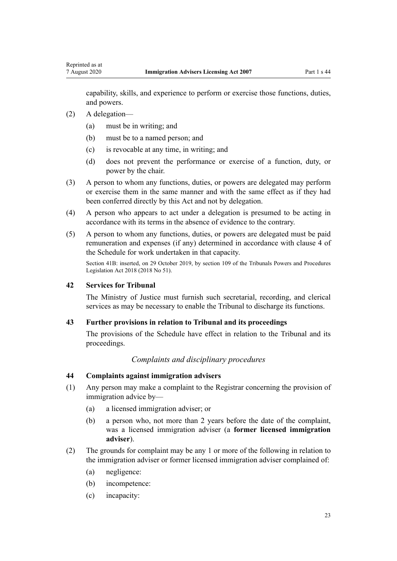<span id="page-22-0"></span>capability, skills, and experience to perform or exercise those functions, duties, and powers.

- (2) A delegation—
	- (a) must be in writing; and
	- (b) must be to a named person; and
	- (c) is revocable at any time, in writing; and
	- (d) does not prevent the performance or exercise of a function, duty, or power by the chair.
- (3) A person to whom any functions, duties, or powers are delegated may perform or exercise them in the same manner and with the same effect as if they had been conferred directly by this Act and not by delegation.
- (4) A person who appears to act under a delegation is presumed to be acting in accordance with its terms in the absence of evidence to the contrary.
- (5) A person to whom any functions, duties, or powers are delegated must be paid remuneration and expenses (if any) determined in accordance with [clause 4](#page-49-0) of the Schedule for work undertaken in that capacity.

Section 41B: inserted, on 29 October 2019, by [section 109](http://legislation.govt.nz/pdflink.aspx?id=DLM7374321) of the Tribunals Powers and Procedures Legislation Act 2018 (2018 No 51).

## **42 Services for Tribunal**

The Ministry of Justice must furnish such secretarial, recording, and clerical services as may be necessary to enable the Tribunal to discharge its functions.

## **43 Further provisions in relation to Tribunal and its proceedings**

The provisions of the [Schedule](#page-48-0) have effect in relation to the Tribunal and its proceedings.

## *Complaints and disciplinary procedures*

## **44 Complaints against immigration advisers**

- (1) Any person may make a complaint to the Registrar concerning the provision of immigration advice by—
	- (a) a licensed immigration adviser; or
	- (b) a person who, not more than 2 years before the date of the complaint, was a licensed immigration adviser (a **former licensed immigration adviser**).
- (2) The grounds for complaint may be any 1 or more of the following in relation to the immigration adviser or former licensed immigration adviser complained of:
	- (a) negligence:
	- (b) incompetence:
	- (c) incapacity: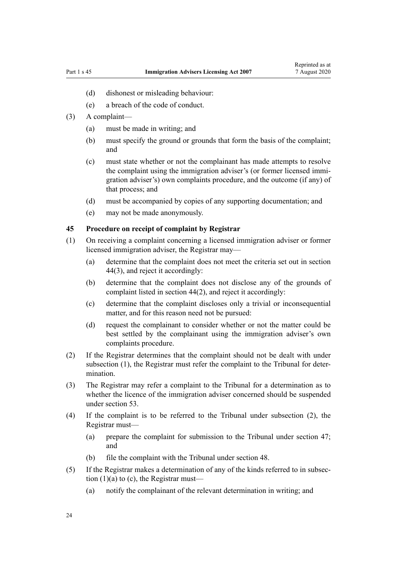- <span id="page-23-0"></span>(d) dishonest or misleading behaviour:
- (e) a breach of the code of conduct.
- (3) A complaint—
	- (a) must be made in writing; and
	- (b) must specify the ground or grounds that form the basis of the complaint; and
	- (c) must state whether or not the complainant has made attempts to resolve the complaint using the immigration adviser's (or former licensed immigration adviser's) own complaints procedure, and the outcome (if any) of that process; and
	- (d) must be accompanied by copies of any supporting documentation; and
	- (e) may not be made anonymously.

#### **45 Procedure on receipt of complaint by Registrar**

- (1) On receiving a complaint concerning a licensed immigration adviser or former licensed immigration adviser, the Registrar may—
	- (a) determine that the complaint does not meet the criteria set out in [section](#page-22-0) [44\(3\)](#page-22-0), and reject it accordingly:
	- (b) determine that the complaint does not disclose any of the grounds of complaint listed in [section 44\(2\)](#page-22-0), and reject it accordingly:
	- (c) determine that the complaint discloses only a trivial or inconsequential matter, and for this reason need not be pursued:
	- (d) request the complainant to consider whether or not the matter could be best settled by the complainant using the immigration adviser's own complaints procedure.
- (2) If the Registrar determines that the complaint should not be dealt with under subsection (1), the Registrar must refer the complaint to the Tribunal for determination.
- (3) The Registrar may refer a complaint to the Tribunal for a determination as to whether the licence of the immigration adviser concerned should be suspended under [section 53](#page-26-0).
- (4) If the complaint is to be referred to the Tribunal under subsection (2), the Registrar must—
	- (a) prepare the complaint for submission to the Tribunal under [section 47;](#page-24-0) and
	- (b) file the complaint with the Tribunal under [section 48.](#page-24-0)
- (5) If the Registrar makes a determination of any of the kinds referred to in subsection (1)(a) to (c), the Registrar must—
	- (a) notify the complainant of the relevant determination in writing; and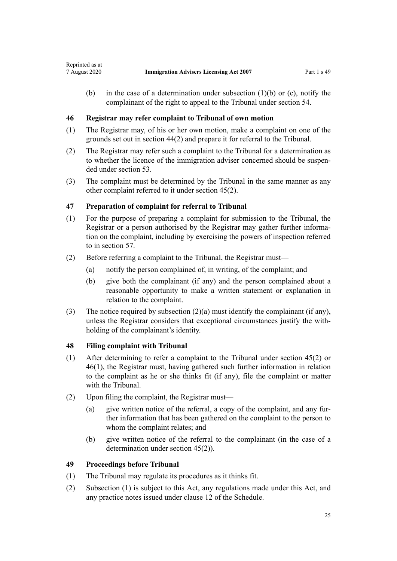<span id="page-24-0"></span>(b) in the case of a determination under subsection (1)(b) or (c), notify the complainant of the right to appeal to the Tribunal under [section 54](#page-27-0).

## **46 Registrar may refer complaint to Tribunal of own motion**

- (1) The Registrar may, of his or her own motion, make a complaint on one of the grounds set out in [section 44\(2\)](#page-22-0) and prepare it for referral to the Tribunal.
- (2) The Registrar may refer such a complaint to the Tribunal for a determination as to whether the licence of the immigration adviser concerned should be suspended under [section 53.](#page-26-0)
- (3) The complaint must be determined by the Tribunal in the same manner as any other complaint referred to it under [section 45\(2\)](#page-23-0).

# **47 Preparation of complaint for referral to Tribunal**

- (1) For the purpose of preparing a complaint for submission to the Tribunal, the Registrar or a person authorised by the Registrar may gather further information on the complaint, including by exercising the powers of inspection referred to in [section 57.](#page-28-0)
- (2) Before referring a complaint to the Tribunal, the Registrar must—
	- (a) notify the person complained of, in writing, of the complaint; and
	- (b) give both the complainant (if any) and the person complained about a reasonable opportunity to make a written statement or explanation in relation to the complaint.
- (3) The notice required by subsection  $(2)(a)$  must identify the complainant (if any), unless the Registrar considers that exceptional circumstances justify the withholding of the complainant's identity.

## **48 Filing complaint with Tribunal**

- (1) After determining to refer a complaint to the Tribunal under [section 45\(2\)](#page-23-0) or 46(1), the Registrar must, having gathered such further information in relation to the complaint as he or she thinks fit (if any), file the complaint or matter with the Tribunal.
- (2) Upon filing the complaint, the Registrar must—
	- (a) give written notice of the referral, a copy of the complaint, and any further information that has been gathered on the complaint to the person to whom the complaint relates; and
	- (b) give written notice of the referral to the complainant (in the case of a determination under [section 45\(2\)](#page-23-0)).

## **49 Proceedings before Tribunal**

- (1) The Tribunal may regulate its procedures as it thinks fit.
- (2) Subsection (1) is subject to this Act, any regulations made under this Act, and any practice notes issued under [clause 12](#page-52-0) of the Schedule.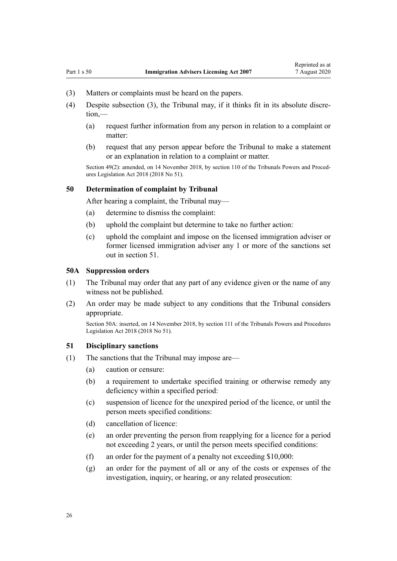- <span id="page-25-0"></span>(3) Matters or complaints must be heard on the papers.
- (4) Despite subsection (3), the Tribunal may, if it thinks fit in its absolute discre-
	- (a) request further information from any person in relation to a complaint or matter:
	- (b) request that any person appear before the Tribunal to make a statement or an explanation in relation to a complaint or matter.

Section 49(2): amended, on 14 November 2018, by [section 110](http://legislation.govt.nz/pdflink.aspx?id=LMS104531) of the Tribunals Powers and Procedures Legislation Act 2018 (2018 No 51).

## **50 Determination of complaint by Tribunal**

After hearing a complaint, the Tribunal may—

- (a) determine to dismiss the complaint:
- (b) uphold the complaint but determine to take no further action:
- (c) uphold the complaint and impose on the licensed immigration adviser or former licensed immigration adviser any 1 or more of the sanctions set out in section 51.

#### **50A Suppression orders**

- (1) The Tribunal may order that any part of any evidence given or the name of any witness not be published.
- (2) An order may be made subject to any conditions that the Tribunal considers appropriate.

Section 50A: inserted, on 14 November 2018, by [section 111](http://legislation.govt.nz/pdflink.aspx?id=DLM7374323) of the Tribunals Powers and Procedures Legislation Act 2018 (2018 No 51).

#### **51 Disciplinary sanctions**

- (1) The sanctions that the Tribunal may impose are—
	- (a) caution or censure:
	- (b) a requirement to undertake specified training or otherwise remedy any deficiency within a specified period:
	- (c) suspension of licence for the unexpired period of the licence, or until the person meets specified conditions:
	- (d) cancellation of licence:
	- (e) an order preventing the person from reapplying for a licence for a period not exceeding 2 years, or until the person meets specified conditions:
	- (f) an order for the payment of a penalty not exceeding \$10,000:
	- (g) an order for the payment of all or any of the costs or expenses of the investigation, inquiry, or hearing, or any related prosecution:

 $tion –$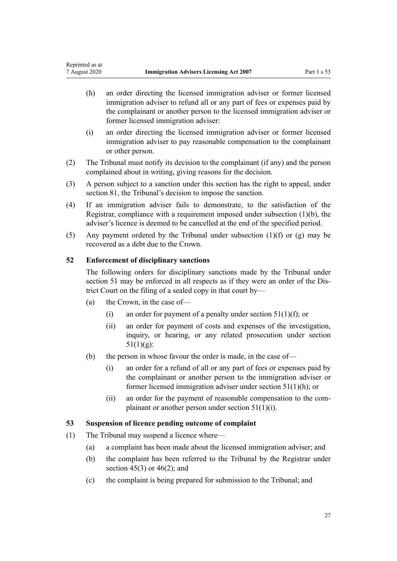- <span id="page-26-0"></span>(h) an order directing the licensed immigration adviser or former licensed immigration adviser to refund all or any part of fees or expenses paid by the complainant or another person to the licensed immigration adviser or former licensed immigration adviser:
- (i) an order directing the licensed immigration adviser or former licensed immigration adviser to pay reasonable compensation to the complainant or other person.
- (2) The Tribunal must notify its decision to the complainant (if any) and the person complained about in writing, giving reasons for the decision.
- (3) A person subject to a sanction under this section has the right to appeal, under [section 81](#page-39-0), the Tribunal's decision to impose the sanction.
- (4) If an immigration adviser fails to demonstrate, to the satisfaction of the Registrar, compliance with a requirement imposed under subsection (1)(b), the adviser's licence is deemed to be cancelled at the end of the specified period.
- (5) Any payment ordered by the Tribunal under subsection  $(1)(f)$  or  $(g)$  may be recovered as a debt due to the Crown.

# **52 Enforcement of disciplinary sanctions**

The following orders for disciplinary sanctions made by the Tribunal under [section 51](#page-25-0) may be enforced in all respects as if they were an order of the District Court on the filing of a sealed copy in that court by—

- (a) the Crown, in the case of—
	- (i) an order for payment of a penalty under section  $51(1)(f)$ ; or
	- (ii) an order for payment of costs and expenses of the investigation, inquiry, or hearing, or any related prosecution under [section](#page-25-0)  $51(1)(g)$ :
- (b) the person in whose favour the order is made, in the case of—
	- (i) an order for a refund of all or any part of fees or expenses paid by the complainant or another person to the immigration adviser or former licensed immigration adviser under [section 51\(1\)\(h\);](#page-25-0) or
	- (ii) an order for the payment of reasonable compensation to the complainant or another person under [section 51\(1\)\(i\).](#page-25-0)

## **53 Suspension of licence pending outcome of complaint**

- (1) The Tribunal may suspend a licence where—
	- (a) a complaint has been made about the licensed immigration adviser; and
	- (b) the complaint has been referred to the Tribunal by the Registrar under section  $45(3)$  or  $46(2)$ ; and
	- (c) the complaint is being prepared for submission to the Tribunal; and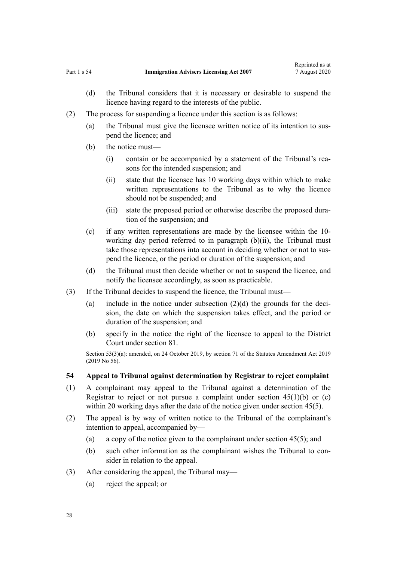- <span id="page-27-0"></span>(d) the Tribunal considers that it is necessary or desirable to suspend the licence having regard to the interests of the public.
- (2) The process for suspending a licence under this section is as follows:
	- (a) the Tribunal must give the licensee written notice of its intention to suspend the licence; and
	- (b) the notice must—
		- (i) contain or be accompanied by a statement of the Tribunal's reasons for the intended suspension; and
		- (ii) state that the licensee has 10 working days within which to make written representations to the Tribunal as to why the licence should not be suspended; and
		- (iii) state the proposed period or otherwise describe the proposed duration of the suspension; and
	- (c) if any written representations are made by the licensee within the 10 working day period referred to in paragraph (b)(ii), the Tribunal must take those representations into account in deciding whether or not to suspend the licence, or the period or duration of the suspension; and
	- (d) the Tribunal must then decide whether or not to suspend the licence, and notify the licensee accordingly, as soon as practicable.
- (3) If the Tribunal decides to suspend the licence, the Tribunal must—
	- (a) include in the notice under subsection  $(2)(d)$  the grounds for the decision, the date on which the suspension takes effect, and the period or duration of the suspension; and
	- (b) specify in the notice the right of the licensee to appeal to the District Court under [section 81](#page-39-0).

Section 53(3)(a): amended, on 24 October 2019, by [section 71](http://legislation.govt.nz/pdflink.aspx?id=LMS156043) of the Statutes Amendment Act 2019 (2019 No 56).

#### **54 Appeal to Tribunal against determination by Registrar to reject complaint**

- (1) A complainant may appeal to the Tribunal against a determination of the Registrar to reject or not pursue a complaint under section  $45(1)(b)$  or (c) within 20 working days after the date of the notice given under section 45(5).
- (2) The appeal is by way of written notice to the Tribunal of the complainant's intention to appeal, accompanied by—
	- (a) a copy of the notice given to the complainant under [section 45\(5\)](#page-23-0); and
	- (b) such other information as the complainant wishes the Tribunal to consider in relation to the appeal.
- (3) After considering the appeal, the Tribunal may—
	- (a) reject the appeal; or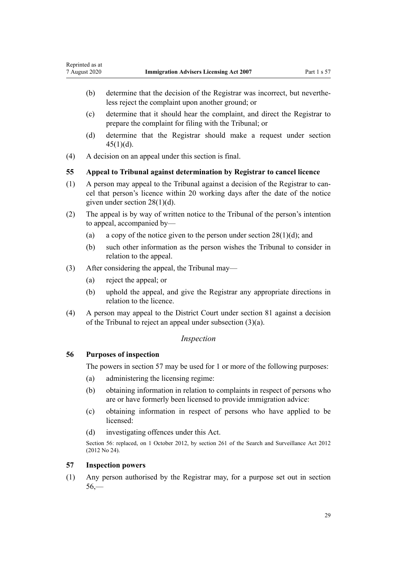- <span id="page-28-0"></span>(b) determine that the decision of the Registrar was incorrect, but nevertheless reject the complaint upon another ground; or
- (c) determine that it should hear the complaint, and direct the Registrar to prepare the complaint for filing with the Tribunal; or
- (d) determine that the Registrar should make a request under [section](#page-23-0)  $45(1)(d)$ .
- (4) A decision on an appeal under this section is final.

## **55 Appeal to Tribunal against determination by Registrar to cancel licence**

- (1) A person may appeal to the Tribunal against a decision of the Registrar to cancel that person's licence within 20 working days after the date of the notice given under [section 28\(1\)\(d\)](#page-16-0).
- (2) The appeal is by way of written notice to the Tribunal of the person's intention to appeal, accompanied by—
	- (a) a copy of the notice given to the person under section  $28(1)(d)$ ; and
	- (b) such other information as the person wishes the Tribunal to consider in relation to the appeal.
- (3) After considering the appeal, the Tribunal may—
	- (a) reject the appeal; or
	- (b) uphold the appeal, and give the Registrar any appropriate directions in relation to the licence.
- (4) A person may appeal to the District Court under [section 81](#page-39-0) against a decision of the Tribunal to reject an appeal under subsection (3)(a).

#### *Inspection*

## **56 Purposes of inspection**

The powers in section 57 may be used for 1 or more of the following purposes:

- (a) administering the licensing regime:
- (b) obtaining information in relation to complaints in respect of persons who are or have formerly been licensed to provide immigration advice:
- (c) obtaining information in respect of persons who have applied to be licensed:
- (d) investigating offences under this Act.

Section 56: replaced, on 1 October 2012, by [section 261](http://legislation.govt.nz/pdflink.aspx?id=DLM2137004) of the Search and Surveillance Act 2012 (2012 No 24).

## **57 Inspection powers**

(1) Any person authorised by the Registrar may, for a purpose set out in section  $56 -$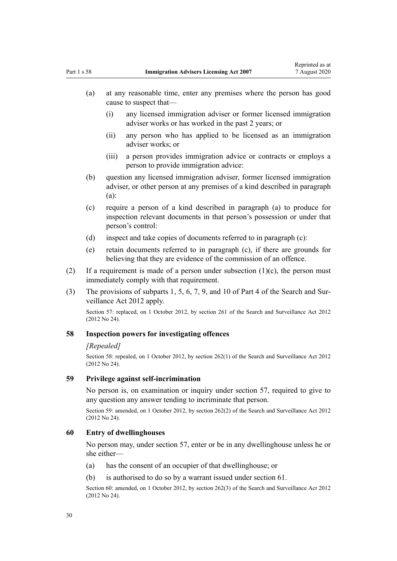- <span id="page-29-0"></span>(a) at any reasonable time, enter any premises where the person has good cause to suspect that—
	- (i) any licensed immigration adviser or former licensed immigration adviser works or has worked in the past 2 years; or
	- (ii) any person who has applied to be licensed as an immigration adviser works; or
	- (iii) a person provides immigration advice or contracts or employs a person to provide immigration advice:
- (b) question any licensed immigration adviser, former licensed immigration adviser, or other person at any premises of a kind described in paragraph (a):
- (c) require a person of a kind described in paragraph (a) to produce for inspection relevant documents in that person's possession or under that person's control:
- (d) inspect and take copies of documents referred to in paragraph (c):
- (e) retain documents referred to in paragraph (c), if there are grounds for believing that they are evidence of the commission of an offence.
- (2) If a requirement is made of a person under subsection  $(1)(c)$ , the person must immediately comply with that requirement.
- (3) The provisions of [subparts 1](http://legislation.govt.nz/pdflink.aspx?id=DLM2136771), [5](http://legislation.govt.nz/pdflink.aspx?id=DLM2136842), [6,](http://legislation.govt.nz/pdflink.aspx?id=DLM2136860) [7,](http://legislation.govt.nz/pdflink.aspx?id=DLM2136877) [9](http://legislation.govt.nz/pdflink.aspx?id=DLM2136888), and [10](http://legislation.govt.nz/pdflink.aspx?id=DLM2136896) of Part 4 of the Search and Surveillance Act 2012 apply.

Section 57: replaced, on 1 October 2012, by [section 261](http://legislation.govt.nz/pdflink.aspx?id=DLM2137004) of the Search and Surveillance Act 2012 (2012 No 24).

## **58 Inspection powers for investigating offences**

#### *[Repealed]*

Section 58: repealed, on 1 October 2012, by [section 262\(1\)](http://legislation.govt.nz/pdflink.aspx?id=DLM2137007) of the Search and Surveillance Act 2012 (2012 No 24).

#### **59 Privilege against self-incrimination**

No person is, on examination or inquiry under [section 57](#page-28-0), required to give to any question any answer tending to incriminate that person.

Section 59: amended, on 1 October 2012, by [section 262\(2\)](http://legislation.govt.nz/pdflink.aspx?id=DLM2137007) of the Search and Surveillance Act 2012 (2012 No 24).

#### **60 Entry of dwellinghouses**

No person may, under [section 57](#page-28-0), enter or be in any dwellinghouse unless he or she either—

- (a) has the consent of an occupier of that dwellinghouse; or
- (b) is authorised to do so by a warrant issued under [section 61.](#page-30-0)

Section 60: amended, on 1 October 2012, by [section 262\(3\)](http://legislation.govt.nz/pdflink.aspx?id=DLM2137007) of the Search and Surveillance Act 2012 (2012 No 24).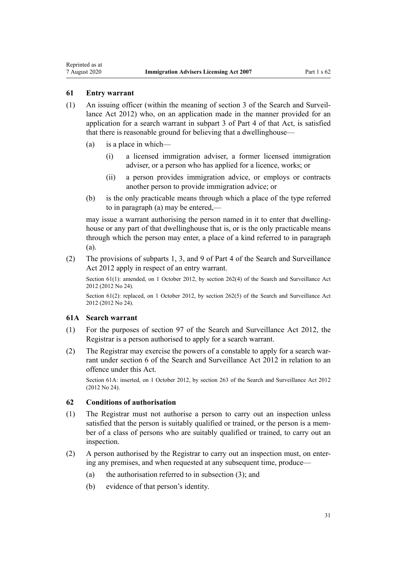<span id="page-30-0"></span>Reprinted as at

- (1) An issuing officer (within the meaning of [section 3](http://legislation.govt.nz/pdflink.aspx?id=DLM2136542) of the Search and Surveillance Act 2012) who, on an application made in the manner provided for an application for a search warrant in [subpart 3](http://legislation.govt.nz/pdflink.aspx?id=DLM2136781) of Part 4 of that Act, is satisfied that there is reasonable ground for believing that a dwellinghouse—
	- (a) is a place in which—
		- (i) a licensed immigration adviser, a former licensed immigration adviser, or a person who has applied for a licence, works; or
		- (ii) a person provides immigration advice, or employs or contracts another person to provide immigration advice; or
	- (b) is the only practicable means through which a place of the type referred to in paragraph (a) may be entered,—

may issue a warrant authorising the person named in it to enter that dwellinghouse or any part of that dwellinghouse that is, or is the only practicable means through which the person may enter, a place of a kind referred to in paragraph (a).

(2) The provisions of [subparts 1](http://legislation.govt.nz/pdflink.aspx?id=DLM2136771), [3](http://legislation.govt.nz/pdflink.aspx?id=DLM2136781), and [9](http://legislation.govt.nz/pdflink.aspx?id=DLM2136888) of Part 4 of the Search and Surveillance Act 2012 apply in respect of an entry warrant.

Section 61(1): amended, on 1 October 2012, by [section 262\(4\)](http://legislation.govt.nz/pdflink.aspx?id=DLM2137007) of the Search and Surveillance Act 2012 (2012 No 24).

Section 61(2): replaced, on 1 October 2012, by [section 262\(5\)](http://legislation.govt.nz/pdflink.aspx?id=DLM2137007) of the Search and Surveillance Act 2012 (2012 No 24).

## **61A Search warrant**

- (1) For the purposes of [section 97](http://legislation.govt.nz/pdflink.aspx?id=DLM2136783) of the Search and Surveillance Act 2012, the Registrar is a person authorised to apply for a search warrant.
- (2) The Registrar may exercise the powers of a constable to apply for a search warrant under [section 6](http://legislation.govt.nz/pdflink.aspx?id=DLM2136635) of the Search and Surveillance Act 2012 in relation to an offence under this Act.

Section 61A: inserted, on 1 October 2012, by [section 263](http://legislation.govt.nz/pdflink.aspx?id=DLM4356317) of the Search and Surveillance Act 2012 (2012 No 24).

#### **62 Conditions of authorisation**

- (1) The Registrar must not authorise a person to carry out an inspection unless satisfied that the person is suitably qualified or trained, or the person is a member of a class of persons who are suitably qualified or trained, to carry out an inspection.
- (2) A person authorised by the Registrar to carry out an inspection must, on entering any premises, and when requested at any subsequent time, produce—
	- (a) the authorisation referred to in subsection (3); and
	- (b) evidence of that person's identity.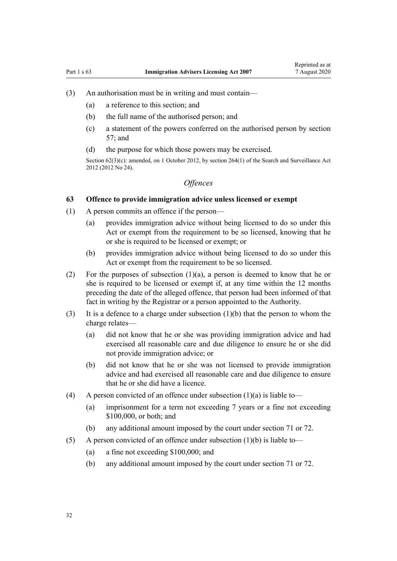- <span id="page-31-0"></span>(3) An authorisation must be in writing and must contain—
	- (a) a reference to this section; and
	- (b) the full name of the authorised person; and
	- (c) a statement of the powers conferred on the authorised person by [section](#page-28-0) [57;](#page-28-0) and
	- (d) the purpose for which those powers may be exercised.

Section 62(3)(c): amended, on 1 October 2012, by [section 264\(1\)](http://legislation.govt.nz/pdflink.aspx?id=DLM4356319) of the Search and Surveillance Act 2012 (2012 No 24).

# *Offences*

## **63 Offence to provide immigration advice unless licensed or exempt**

- (1) A person commits an offence if the person—
	- (a) provides immigration advice without being licensed to do so under this Act or exempt from the requirement to be so licensed, knowing that he or she is required to be licensed or exempt; or
	- (b) provides immigration advice without being licensed to do so under this Act or exempt from the requirement to be so licensed.
- (2) For the purposes of subsection  $(1)(a)$ , a person is deemed to know that he or she is required to be licensed or exempt if, at any time within the 12 months preceding the date of the alleged offence, that person had been informed of that fact in writing by the Registrar or a person appointed to the Authority.
- (3) It is a defence to a charge under subsection (1)(b) that the person to whom the charge relates—
	- (a) did not know that he or she was providing immigration advice and had exercised all reasonable care and due diligence to ensure he or she did not provide immigration advice; or
	- (b) did not know that he or she was not licensed to provide immigration advice and had exercised all reasonable care and due diligence to ensure that he or she did have a licence.
- (4) A person convicted of an offence under subsection  $(1)(a)$  is liable to—
	- (a) imprisonment for a term not exceeding 7 years or a fine not exceeding \$100,000, or both; and
	- (b) any additional amount imposed by the court under [section 71](#page-36-0) or [72](#page-36-0).
- (5) A person convicted of an offence under subsection  $(1)(b)$  is liable to—
	- (a) a fine not exceeding \$100,000; and
	- (b) any additional amount imposed by the court under [section 71](#page-36-0) or [72](#page-36-0).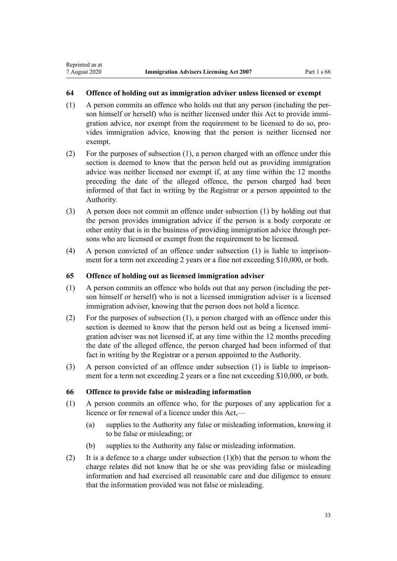## <span id="page-32-0"></span>**64 Offence of holding out as immigration adviser unless licensed or exempt**

- (1) A person commits an offence who holds out that any person (including the person himself or herself) who is neither licensed under this Act to provide immigration advice, nor exempt from the requirement to be licensed to do so, provides immigration advice, knowing that the person is neither licensed nor exempt.
- (2) For the purposes of subsection (1), a person charged with an offence under this section is deemed to know that the person held out as providing immigration advice was neither licensed nor exempt if, at any time within the 12 months preceding the date of the alleged offence, the person charged had been informed of that fact in writing by the Registrar or a person appointed to the Authority.
- (3) A person does not commit an offence under subsection (1) by holding out that the person provides immigration advice if the person is a body corporate or other entity that is in the business of providing immigration advice through persons who are licensed or exempt from the requirement to be licensed.
- (4) A person convicted of an offence under subsection (1) is liable to imprisonment for a term not exceeding 2 years or a fine not exceeding \$10,000, or both.

## **65 Offence of holding out as licensed immigration adviser**

- (1) A person commits an offence who holds out that any person (including the person himself or herself) who is not a licensed immigration adviser is a licensed immigration adviser, knowing that the person does not hold a licence.
- (2) For the purposes of subsection (1), a person charged with an offence under this section is deemed to know that the person held out as being a licensed immigration adviser was not licensed if, at any time within the 12 months preceding the date of the alleged offence, the person charged had been informed of that fact in writing by the Registrar or a person appointed to the Authority.
- (3) A person convicted of an offence under subsection (1) is liable to imprisonment for a term not exceeding 2 years or a fine not exceeding \$10,000, or both.

## **66 Offence to provide false or misleading information**

- (1) A person commits an offence who, for the purposes of any application for a licence or for renewal of a licence under this Act,—
	- (a) supplies to the Authority any false or misleading information, knowing it to be false or misleading; or
	- (b) supplies to the Authority any false or misleading information.
- (2) It is a defence to a charge under subsection (1)(b) that the person to whom the charge relates did not know that he or she was providing false or misleading information and had exercised all reasonable care and due diligence to ensure that the information provided was not false or misleading.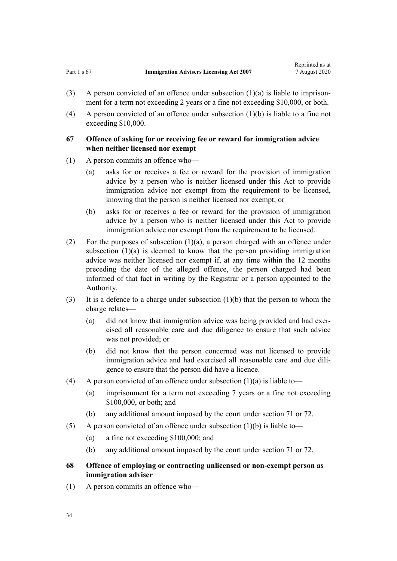- <span id="page-33-0"></span>(3) A person convicted of an offence under subsection  $(1)(a)$  is liable to imprisonment for a term not exceeding 2 years or a fine not exceeding \$10,000, or both.
- (4) A person convicted of an offence under subsection (1)(b) is liable to a fine not exceeding \$10,000.

## **67 Offence of asking for or receiving fee or reward for immigration advice when neither licensed nor exempt**

- (1) A person commits an offence who—
	- (a) asks for or receives a fee or reward for the provision of immigration advice by a person who is neither licensed under this Act to provide immigration advice nor exempt from the requirement to be licensed, knowing that the person is neither licensed nor exempt; or
	- (b) asks for or receives a fee or reward for the provision of immigration advice by a person who is neither licensed under this Act to provide immigration advice nor exempt from the requirement to be licensed.
- (2) For the purposes of subsection  $(1)(a)$ , a person charged with an offence under subsection  $(1)(a)$  is deemed to know that the person providing immigration advice was neither licensed nor exempt if, at any time within the 12 months preceding the date of the alleged offence, the person charged had been informed of that fact in writing by the Registrar or a person appointed to the Authority.
- (3) It is a defence to a charge under subsection (1)(b) that the person to whom the charge relates—
	- (a) did not know that immigration advice was being provided and had exercised all reasonable care and due diligence to ensure that such advice was not provided; or
	- (b) did not know that the person concerned was not licensed to provide immigration advice and had exercised all reasonable care and due diligence to ensure that the person did have a licence.
- (4) A person convicted of an offence under subsection  $(1)(a)$  is liable to—
	- (a) imprisonment for a term not exceeding 7 years or a fine not exceeding \$100,000, or both; and
	- (b) any additional amount imposed by the court under [section 71](#page-36-0) or [72](#page-36-0).
- (5) A person convicted of an offence under subsection  $(1)(b)$  is liable to—
	- (a) a fine not exceeding \$100,000; and
	- (b) any additional amount imposed by the court under [section 71](#page-36-0) or [72](#page-36-0).
- **68 Offence of employing or contracting unlicensed or non-exempt person as immigration adviser**
- (1) A person commits an offence who—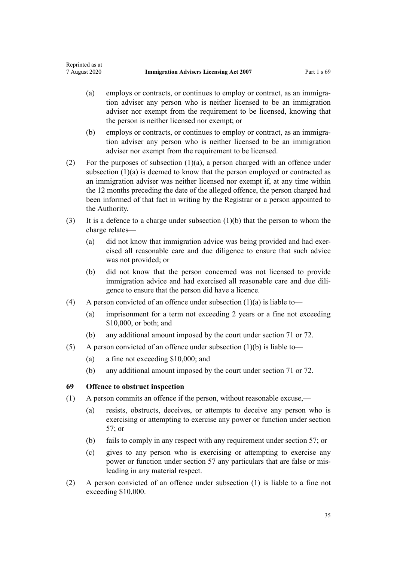- <span id="page-34-0"></span>(a) employs or contracts, or continues to employ or contract, as an immigration adviser any person who is neither licensed to be an immigration adviser nor exempt from the requirement to be licensed, knowing that the person is neither licensed nor exempt; or
- (b) employs or contracts, or continues to employ or contract, as an immigration adviser any person who is neither licensed to be an immigration adviser nor exempt from the requirement to be licensed.
- (2) For the purposes of subsection  $(1)(a)$ , a person charged with an offence under subsection (1)(a) is deemed to know that the person employed or contracted as an immigration adviser was neither licensed nor exempt if, at any time within the 12 months preceding the date of the alleged offence, the person charged had been informed of that fact in writing by the Registrar or a person appointed to the Authority.
- (3) It is a defence to a charge under subsection (1)(b) that the person to whom the charge relates—
	- (a) did not know that immigration advice was being provided and had exercised all reasonable care and due diligence to ensure that such advice was not provided; or
	- (b) did not know that the person concerned was not licensed to provide immigration advice and had exercised all reasonable care and due diligence to ensure that the person did have a licence.
- (4) A person convicted of an offence under subsection  $(1)(a)$  is liable to—
	- (a) imprisonment for a term not exceeding 2 years or a fine not exceeding \$10,000, or both; and
	- (b) any additional amount imposed by the court under [section 71](#page-36-0) or [72](#page-36-0).
- (5) A person convicted of an offence under subsection (1)(b) is liable to—
	- (a) a fine not exceeding \$10,000; and
	- (b) any additional amount imposed by the court under [section 71](#page-36-0) or [72](#page-36-0).

## **69 Offence to obstruct inspection**

- (1) A person commits an offence if the person, without reasonable excuse,—
	- (a) resists, obstructs, deceives, or attempts to deceive any person who is exercising or attempting to exercise any power or function under [section](#page-28-0) [57;](#page-28-0) or
	- (b) fails to comply in any respect with any requirement under [section 57](#page-28-0); or
	- (c) gives to any person who is exercising or attempting to exercise any power or function under [section 57](#page-28-0) any particulars that are false or misleading in any material respect.
- (2) A person convicted of an offence under subsection (1) is liable to a fine not exceeding \$10,000.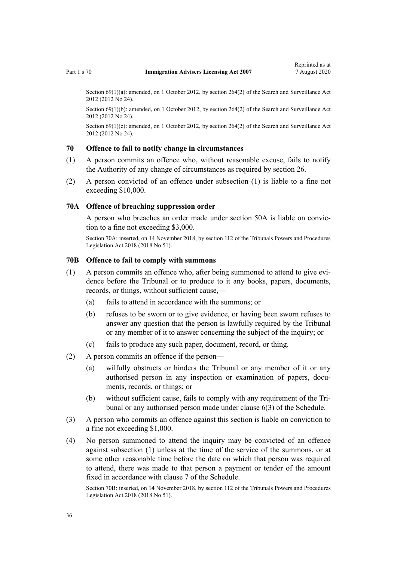<span id="page-35-0"></span>Section 69(1)(a): amended, on 1 October 2012, by [section 264\(2\)](http://legislation.govt.nz/pdflink.aspx?id=DLM4356319) of the Search and Surveillance Act 2012 (2012 No 24).

Section 69(1)(b): amended, on 1 October 2012, by [section 264\(2\)](http://legislation.govt.nz/pdflink.aspx?id=DLM4356319) of the Search and Surveillance Act 2012 (2012 No 24).

Section 69(1)(c): amended, on 1 October 2012, by [section 264\(2\)](http://legislation.govt.nz/pdflink.aspx?id=DLM4356319) of the Search and Surveillance Act 2012 (2012 No 24).

## **70 Offence to fail to notify change in circumstances**

- (1) A person commits an offence who, without reasonable excuse, fails to notify the Authority of any change of circumstances as required by [section 26.](#page-15-0)
- (2) A person convicted of an offence under subsection (1) is liable to a fine not exceeding \$10,000.

#### **70A Offence of breaching suppression order**

A person who breaches an order made under [section 50A](#page-25-0) is liable on conviction to a fine not exceeding \$3,000.

Section 70A: inserted, on 14 November 2018, by [section 112](http://legislation.govt.nz/pdflink.aspx?id=DLM7374326) of the Tribunals Powers and Procedures Legislation Act 2018 (2018 No 51).

## **70B Offence to fail to comply with summons**

- (1) A person commits an offence who, after being summoned to attend to give evidence before the Tribunal or to produce to it any books, papers, documents, records, or things, without sufficient cause,—
	- (a) fails to attend in accordance with the summons; or
	- (b) refuses to be sworn or to give evidence, or having been sworn refuses to answer any question that the person is lawfully required by the Tribunal or any member of it to answer concerning the subject of the inquiry; or
	- (c) fails to produce any such paper, document, record, or thing.
- (2) A person commits an offence if the person—
	- (a) wilfully obstructs or hinders the Tribunal or any member of it or any authorised person in any inspection or examination of papers, documents, records, or things; or
	- (b) without sufficient cause, fails to comply with any requirement of the Tribunal or any authorised person made under [clause 6\(3\)](#page-49-0) of the Schedule.
- (3) A person who commits an offence against this section is liable on conviction to a fine not exceeding \$1,000.
- (4) No person summoned to attend the inquiry may be convicted of an offence against subsection (1) unless at the time of the service of the summons, or at some other reasonable time before the date on which that person was required to attend, there was made to that person a payment or tender of the amount fixed in accordance with [clause 7](#page-50-0) of the Schedule.

Section 70B: inserted, on 14 November 2018, by [section 112](http://legislation.govt.nz/pdflink.aspx?id=DLM7374326) of the Tribunals Powers and Procedures Legislation Act 2018 (2018 No 51).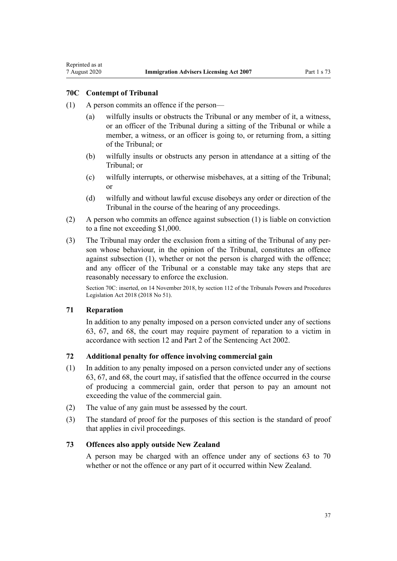## <span id="page-36-0"></span>**70C Contempt of Tribunal**

- (1) A person commits an offence if the person—
	- (a) wilfully insults or obstructs the Tribunal or any member of it, a witness, or an officer of the Tribunal during a sitting of the Tribunal or while a member, a witness, or an officer is going to, or returning from, a sitting of the Tribunal; or
	- (b) wilfully insults or obstructs any person in attendance at a sitting of the Tribunal; or
	- (c) wilfully interrupts, or otherwise misbehaves, at a sitting of the Tribunal; or
	- (d) wilfully and without lawful excuse disobeys any order or direction of the Tribunal in the course of the hearing of any proceedings.
- (2) A person who commits an offence against subsection (1) is liable on conviction to a fine not exceeding \$1,000.
- (3) The Tribunal may order the exclusion from a sitting of the Tribunal of any person whose behaviour, in the opinion of the Tribunal, constitutes an offence against subsection (1), whether or not the person is charged with the offence; and any officer of the Tribunal or a constable may take any steps that are reasonably necessary to enforce the exclusion.

Section 70C: inserted, on 14 November 2018, by [section 112](http://legislation.govt.nz/pdflink.aspx?id=DLM7374326) of the Tribunals Powers and Procedures Legislation Act 2018 (2018 No 51).

## **71 Reparation**

In addition to any penalty imposed on a person convicted under any of [sections](#page-31-0) [63,](#page-31-0) [67](#page-33-0), and [68,](#page-33-0) the court may require payment of reparation to a victim in accordance with [section 12](http://legislation.govt.nz/pdflink.aspx?id=DLM135553) and [Part 2](http://legislation.govt.nz/pdflink.aspx?id=DLM135593) of the Sentencing Act 2002.

## **72 Additional penalty for offence involving commercial gain**

- (1) In addition to any penalty imposed on a person convicted under any of [sections](#page-31-0) [63,](#page-31-0) [67,](#page-33-0) and [68,](#page-33-0) the court may, if satisfied that the offence occurred in the course of producing a commercial gain, order that person to pay an amount not exceeding the value of the commercial gain.
- (2) The value of any gain must be assessed by the court.
- (3) The standard of proof for the purposes of this section is the standard of proof that applies in civil proceedings.

## **73 Offences also apply outside New Zealand**

A person may be charged with an offence under any of [sections 63 to 70](#page-31-0) whether or not the offence or any part of it occurred within New Zealand.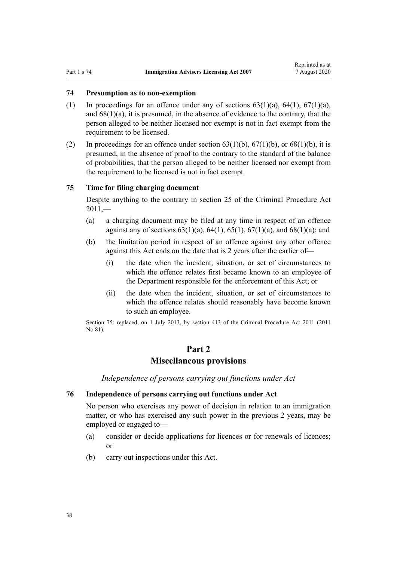## <span id="page-37-0"></span>**74 Presumption as to non-exemption**

- (1) In proceedings for an offence under any of sections  $63(1)(a)$ ,  $64(1)$ ,  $67(1)(a)$ , and [68\(1\)\(a\),](#page-33-0) it is presumed, in the absence of evidence to the contrary, that the person alleged to be neither licensed nor exempt is not in fact exempt from the requirement to be licensed.
- (2) In proceedings for an offence under section  $63(1)(b)$ ,  $67(1)(b)$ , or  $68(1)(b)$ , it is presumed, in the absence of proof to the contrary to the standard of the balance of probabilities, that the person alleged to be neither licensed nor exempt from the requirement to be licensed is not in fact exempt.

## **75 Time for filing charging document**

Despite anything to the contrary in [section 25](http://legislation.govt.nz/pdflink.aspx?id=DLM3360067) of the Criminal Procedure Act  $2011 -$ 

- (a) a charging document may be filed at any time in respect of an offence against any of sections  $63(1)(a)$ ,  $64(1)$ ,  $65(1)$ ,  $67(1)(a)$ , and  $68(1)(a)$ ; and
- (b) the limitation period in respect of an offence against any other offence against this Act ends on the date that is 2 years after the earlier of—
	- (i) the date when the incident, situation, or set of circumstances to which the offence relates first became known to an employee of the Department responsible for the enforcement of this Act; or
	- (ii) the date when the incident, situation, or set of circumstances to which the offence relates should reasonably have become known to such an employee.

Section 75: replaced, on 1 July 2013, by [section 413](http://legislation.govt.nz/pdflink.aspx?id=DLM3360714) of the Criminal Procedure Act 2011 (2011 No 81).

## **Part 2**

# **Miscellaneous provisions**

*Independence of persons carrying out functions under Act*

## **76 Independence of persons carrying out functions under Act**

No person who exercises any power of decision in relation to an immigration matter, or who has exercised any such power in the previous 2 years, may be employed or engaged to—

- (a) consider or decide applications for licences or for renewals of licences; or
- (b) carry out inspections under this Act.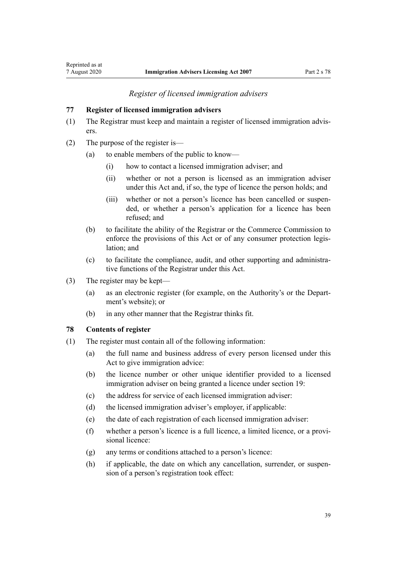## *Register of licensed immigration advisers*

#### <span id="page-38-0"></span>**77 Register of licensed immigration advisers**

- (1) The Registrar must keep and maintain a register of licensed immigration advisers.
- (2) The purpose of the register is—
	- (a) to enable members of the public to know—
		- (i) how to contact a licensed immigration adviser; and
		- (ii) whether or not a person is licensed as an immigration adviser under this Act and, if so, the type of licence the person holds; and
		- (iii) whether or not a person's licence has been cancelled or suspended, or whether a person's application for a licence has been refused; and
	- (b) to facilitate the ability of the Registrar or the Commerce Commission to enforce the provisions of this Act or of any consumer protection legislation; and
	- (c) to facilitate the compliance, audit, and other supporting and administrative functions of the Registrar under this Act.
- (3) The register may be kept—
	- (a) as an electronic register (for example, on the Authority's or the Department's website); or
	- (b) in any other manner that the Registrar thinks fit.

## **78 Contents of register**

- (1) The register must contain all of the following information:
	- (a) the full name and business address of every person licensed under this Act to give immigration advice:
	- (b) the licence number or other unique identifier provided to a licensed immigration adviser on being granted a licence under [section 19:](#page-13-0)
	- (c) the address for service of each licensed immigration adviser:
	- (d) the licensed immigration adviser's employer, if applicable:
	- (e) the date of each registration of each licensed immigration adviser:
	- (f) whether a person's licence is a full licence, a limited licence, or a provisional licence:
	- (g) any terms or conditions attached to a person's licence:
	- (h) if applicable, the date on which any cancellation, surrender, or suspension of a person's registration took effect: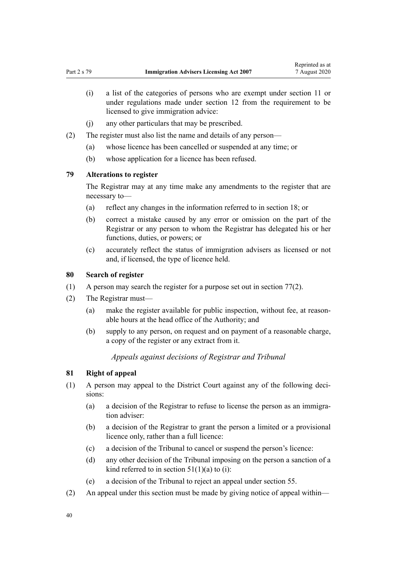- <span id="page-39-0"></span>(i) a list of the categories of persons who are exempt under [section 11](#page-8-0) or under regulations made under [section 12](#page-9-0) from the requirement to be licensed to give immigration advice:
- (j) any other particulars that may be prescribed.
- (2) The register must also list the name and details of any person—
	- (a) whose licence has been cancelled or suspended at any time; or
	- (b) whose application for a licence has been refused.

## **79 Alterations to register**

The Registrar may at any time make any amendments to the register that are necessary to—

- (a) reflect any changes in the information referred to in [section 18;](#page-12-0) or
- (b) correct a mistake caused by any error or omission on the part of the Registrar or any person to whom the Registrar has delegated his or her functions, duties, or powers; or
- (c) accurately reflect the status of immigration advisers as licensed or not and, if licensed, the type of licence held.

#### **80 Search of register**

- (1) A person may search the register for a purpose set out in [section 77\(2\)](#page-38-0).
- (2) The Registrar must—
	- (a) make the register available for public inspection, without fee, at reasonable hours at the head office of the Authority; and
	- (b) supply to any person, on request and on payment of a reasonable charge, a copy of the register or any extract from it.

### *Appeals against decisions of Registrar and Tribunal*

#### **81 Right of appeal**

- (1) A person may appeal to the District Court against any of the following decisions:
	- (a) a decision of the Registrar to refuse to license the person as an immigration adviser:
	- (b) a decision of the Registrar to grant the person a limited or a provisional licence only, rather than a full licence:
	- (c) a decision of the Tribunal to cancel or suspend the person's licence:
	- (d) any other decision of the Tribunal imposing on the person a sanction of a kind referred to in section  $51(1)(a)$  to (i):
	- (e) a decision of the Tribunal to reject an appeal under [section 55.](#page-28-0)
- (2) An appeal under this section must be made by giving notice of appeal within—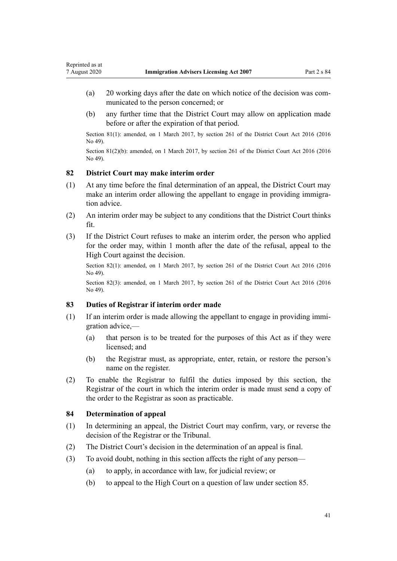- <span id="page-40-0"></span>(a) 20 working days after the date on which notice of the decision was communicated to the person concerned; or
- (b) any further time that the District Court may allow on application made before or after the expiration of that period.

Section 81(1): amended, on 1 March 2017, by [section 261](http://legislation.govt.nz/pdflink.aspx?id=DLM6942680) of the District Court Act 2016 (2016 No 49).

Section 81(2)(b): amended, on 1 March 2017, by [section 261](http://legislation.govt.nz/pdflink.aspx?id=DLM6942680) of the District Court Act 2016 (2016) No 49).

## **82 District Court may make interim order**

- (1) At any time before the final determination of an appeal, the District Court may make an interim order allowing the appellant to engage in providing immigration advice.
- (2) An interim order may be subject to any conditions that the District Court thinks fit.
- (3) If the District Court refuses to make an interim order, the person who applied for the order may, within 1 month after the date of the refusal, appeal to the High Court against the decision.

Section 82(1): amended, on 1 March 2017, by [section 261](http://legislation.govt.nz/pdflink.aspx?id=DLM6942680) of the District Court Act 2016 (2016) No 49).

Section 82(3): amended, on 1 March 2017, by [section 261](http://legislation.govt.nz/pdflink.aspx?id=DLM6942680) of the District Court Act 2016 (2016) No 49).

## **83 Duties of Registrar if interim order made**

- (1) If an interim order is made allowing the appellant to engage in providing immigration advice,—
	- (a) that person is to be treated for the purposes of this Act as if they were licensed; and
	- (b) the Registrar must, as appropriate, enter, retain, or restore the person's name on the register.
- (2) To enable the Registrar to fulfil the duties imposed by this section, the Registrar of the court in which the interim order is made must send a copy of the order to the Registrar as soon as practicable.

## **84 Determination of appeal**

- (1) In determining an appeal, the District Court may confirm, vary, or reverse the decision of the Registrar or the Tribunal.
- (2) The District Court's decision in the determination of an appeal is final.
- (3) To avoid doubt, nothing in this section affects the right of any person—
	- (a) to apply, in accordance with law, for judicial review; or
	- (b) to appeal to the High Court on a question of law under [section 85.](#page-41-0)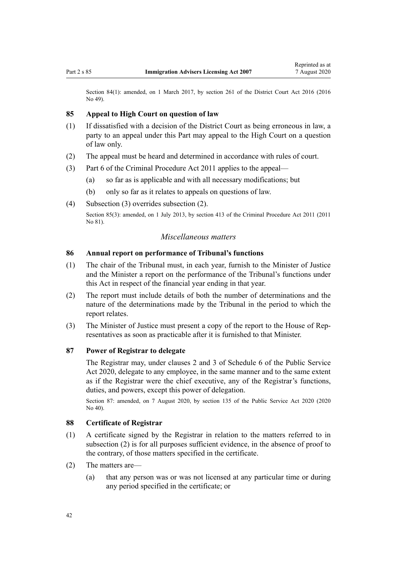<span id="page-41-0"></span>Section 84(1): amended, on 1 March 2017, by [section 261](http://legislation.govt.nz/pdflink.aspx?id=DLM6942680) of the District Court Act 2016 (2016) No 49).

## **85 Appeal to High Court on question of law**

- (1) If dissatisfied with a decision of the District Court as being erroneous in law, a party to an appeal under this Part may appeal to the High Court on a question of law only.
- (2) The appeal must be heard and determined in accordance with rules of court.
- (3) [Part 6](http://legislation.govt.nz/pdflink.aspx?id=DLM3360366) of the Criminal Procedure Act 2011 applies to the appeal—
	- (a) so far as is applicable and with all necessary modifications; but
	- (b) only so far as it relates to appeals on questions of law.
- (4) Subsection (3) overrides subsection (2). Section 85(3): amended, on 1 July 2013, by [section 413](http://legislation.govt.nz/pdflink.aspx?id=DLM3360714) of the Criminal Procedure Act 2011 (2011) No 81).

## *Miscellaneous matters*

#### **86 Annual report on performance of Tribunal's functions**

- (1) The chair of the Tribunal must, in each year, furnish to the Minister of Justice and the Minister a report on the performance of the Tribunal's functions under this Act in respect of the financial year ending in that year.
- (2) The report must include details of both the number of determinations and the nature of the determinations made by the Tribunal in the period to which the report relates.
- (3) The Minister of Justice must present a copy of the report to the House of Representatives as soon as practicable after it is furnished to that Minister.

## **87 Power of Registrar to delegate**

The Registrar may, under [clauses 2](http://legislation.govt.nz/pdflink.aspx?id=LMS356992) and [3](http://legislation.govt.nz/pdflink.aspx?id=LMS247061) of Schedule 6 of the Public Service Act 2020, delegate to any employee, in the same manner and to the same extent as if the Registrar were the chief executive, any of the Registrar's functions, duties, and powers, except this power of delegation.

Section 87: amended, on 7 August 2020, by [section 135](http://legislation.govt.nz/pdflink.aspx?id=LMS176959) of the Public Service Act 2020 (2020 No 40).

## **88 Certificate of Registrar**

- (1) A certificate signed by the Registrar in relation to the matters referred to in subsection (2) is for all purposes sufficient evidence, in the absence of proof to the contrary, of those matters specified in the certificate.
- (2) The matters are—
	- (a) that any person was or was not licensed at any particular time or during any period specified in the certificate; or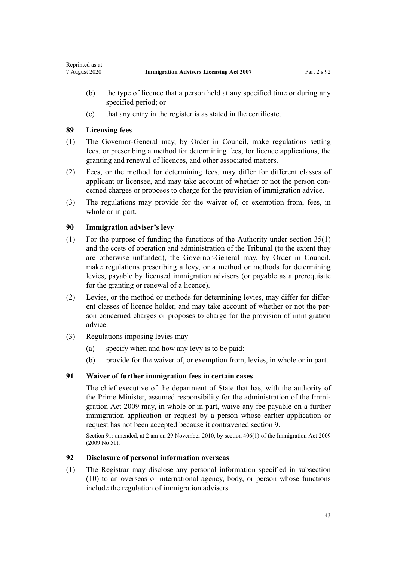- (b) the type of licence that a person held at any specified time or during any specified period; or
- (c) that any entry in the register is as stated in the certificate.

#### **89 Licensing fees**

<span id="page-42-0"></span>Reprinted as at

- (1) The Governor-General may, by Order in Council, make regulations setting fees, or prescribing a method for determining fees, for licence applications, the granting and renewal of licences, and other associated matters.
- (2) Fees, or the method for determining fees, may differ for different classes of applicant or licensee, and may take account of whether or not the person concerned charges or proposes to charge for the provision of immigration advice.
- (3) The regulations may provide for the waiver of, or exemption from, fees, in whole or in part.

## **90 Immigration adviser's levy**

- (1) For the purpose of funding the functions of the Authority under [section 35\(1\)](#page-18-0) and the costs of operation and administration of the Tribunal (to the extent they are otherwise unfunded), the Governor-General may, by Order in Council, make regulations prescribing a levy, or a method or methods for determining levies, payable by licensed immigration advisers (or payable as a prerequisite for the granting or renewal of a licence).
- (2) Levies, or the method or methods for determining levies, may differ for different classes of licence holder, and may take account of whether or not the person concerned charges or proposes to charge for the provision of immigration advice.
- (3) Regulations imposing levies may—
	- (a) specify when and how any levy is to be paid:
	- (b) provide for the waiver of, or exemption from, levies, in whole or in part.

#### **91 Waiver of further immigration fees in certain cases**

The chief executive of the department of State that has, with the authority of the Prime Minister, assumed responsibility for the administration of the [Immi](http://legislation.govt.nz/pdflink.aspx?id=DLM1440300)[gration Act 2009](http://legislation.govt.nz/pdflink.aspx?id=DLM1440300) may, in whole or in part, waive any fee payable on a further immigration application or request by a person whose earlier application or request has not been accepted because it contravened [section 9.](#page-8-0)

Section 91: amended, at 2 am on 29 November 2010, by [section 406\(1\)](http://legislation.govt.nz/pdflink.aspx?id=DLM1441347) of the Immigration Act 2009 (2009 No 51).

## **92 Disclosure of personal information overseas**

(1) The Registrar may disclose any personal information specified in subsection (10) to an overseas or international agency, body, or person whose functions include the regulation of immigration advisers.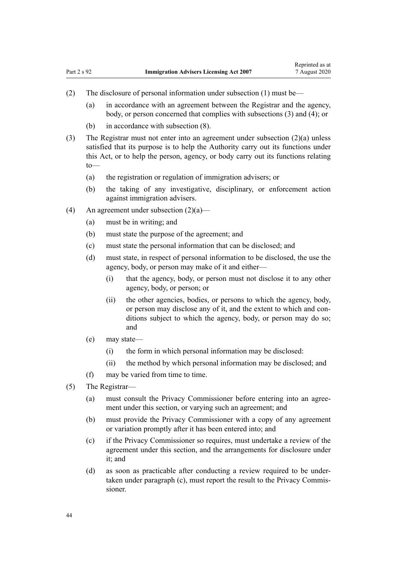- (2) The disclosure of personal information under subsection (1) must be—
	- (a) in accordance with an agreement between the Registrar and the agency, body, or person concerned that complies with subsections (3) and (4); or
	- (b) in accordance with subsection (8).
- (3) The Registrar must not enter into an agreement under subsection (2)(a) unless satisfied that its purpose is to help the Authority carry out its functions under this Act, or to help the person, agency, or body carry out its functions relating to—
	- (a) the registration or regulation of immigration advisers; or
	- (b) the taking of any investigative, disciplinary, or enforcement action against immigration advisers.
- (4) An agreement under subsection  $(2)(a)$ 
	- (a) must be in writing; and
	- (b) must state the purpose of the agreement; and
	- (c) must state the personal information that can be disclosed; and
	- (d) must state, in respect of personal information to be disclosed, the use the agency, body, or person may make of it and either—
		- (i) that the agency, body, or person must not disclose it to any other agency, body, or person; or
		- (ii) the other agencies, bodies, or persons to which the agency, body, or person may disclose any of it, and the extent to which and conditions subject to which the agency, body, or person may do so; and
	- (e) may state—
		- (i) the form in which personal information may be disclosed:
		- (ii) the method by which personal information may be disclosed; and
	- (f) may be varied from time to time.
- (5) The Registrar—
	- (a) must consult the Privacy Commissioner before entering into an agreement under this section, or varying such an agreement; and
	- (b) must provide the Privacy Commissioner with a copy of any agreement or variation promptly after it has been entered into; and
	- (c) if the Privacy Commissioner so requires, must undertake a review of the agreement under this section, and the arrangements for disclosure under it; and
	- (d) as soon as practicable after conducting a review required to be undertaken under paragraph (c), must report the result to the Privacy Commissioner.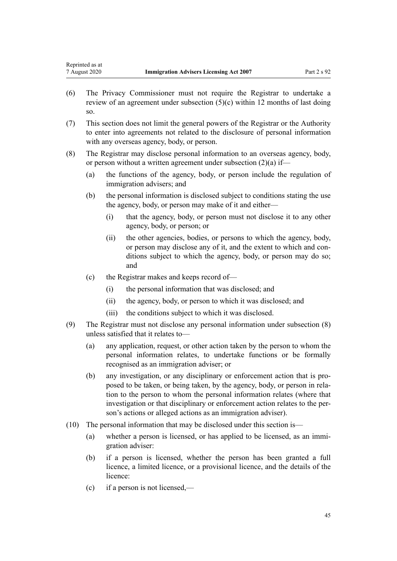- (6) The Privacy Commissioner must not require the Registrar to undertake a review of an agreement under subsection (5)(c) within 12 months of last doing so.
- (7) This section does not limit the general powers of the Registrar or the Authority to enter into agreements not related to the disclosure of personal information with any overseas agency, body, or person.
- (8) The Registrar may disclose personal information to an overseas agency, body, or person without a written agreement under subsection (2)(a) if—
	- (a) the functions of the agency, body, or person include the regulation of immigration advisers; and
	- (b) the personal information is disclosed subject to conditions stating the use the agency, body, or person may make of it and either—
		- (i) that the agency, body, or person must not disclose it to any other agency, body, or person; or
		- (ii) the other agencies, bodies, or persons to which the agency, body, or person may disclose any of it, and the extent to which and conditions subject to which the agency, body, or person may do so; and
	- (c) the Registrar makes and keeps record of—
		- (i) the personal information that was disclosed; and
		- (ii) the agency, body, or person to which it was disclosed; and
		- (iii) the conditions subject to which it was disclosed.
- (9) The Registrar must not disclose any personal information under subsection (8) unless satisfied that it relates to—
	- (a) any application, request, or other action taken by the person to whom the personal information relates, to undertake functions or be formally recognised as an immigration adviser; or
	- (b) any investigation, or any disciplinary or enforcement action that is proposed to be taken, or being taken, by the agency, body, or person in relation to the person to whom the personal information relates (where that investigation or that disciplinary or enforcement action relates to the person's actions or alleged actions as an immigration adviser).
- (10) The personal information that may be disclosed under this section is—
	- (a) whether a person is licensed, or has applied to be licensed, as an immigration adviser:
	- (b) if a person is licensed, whether the person has been granted a full licence, a limited licence, or a provisional licence, and the details of the licence:
	- (c) if a person is not licensed,—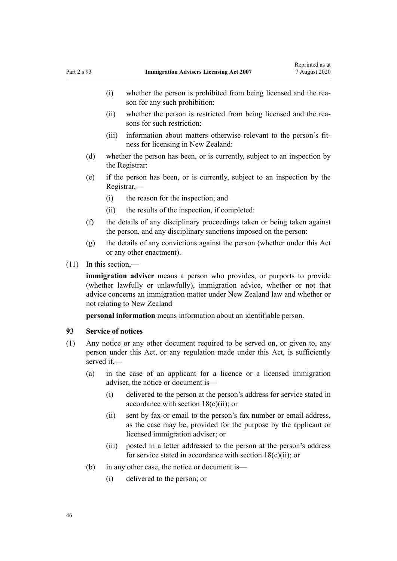- <span id="page-45-0"></span>(i) whether the person is prohibited from being licensed and the reason for any such prohibition:
- (ii) whether the person is restricted from being licensed and the reasons for such restriction:
- (iii) information about matters otherwise relevant to the person's fitness for licensing in New Zealand:
- (d) whether the person has been, or is currently, subject to an inspection by the Registrar:
- (e) if the person has been, or is currently, subject to an inspection by the Registrar,—
	- (i) the reason for the inspection; and
	- (ii) the results of the inspection, if completed:
- (f) the details of any disciplinary proceedings taken or being taken against the person, and any disciplinary sanctions imposed on the person:
- (g) the details of any convictions against the person (whether under this Act or any other enactment).
- (11) In this section,—

**immigration adviser** means a person who provides, or purports to provide (whether lawfully or unlawfully), immigration advice, whether or not that advice concerns an immigration matter under New Zealand law and whether or not relating to New Zealand

**personal information** means information about an identifiable person.

#### **93 Service of notices**

- (1) Any notice or any other document required to be served on, or given to, any person under this Act, or any regulation made under this Act, is sufficiently served if,—
	- (a) in the case of an applicant for a licence or a licensed immigration adviser, the notice or document is—
		- (i) delivered to the person at the person's address for service stated in accordance with section  $18(c)(ii)$ ; or
		- (ii) sent by fax or email to the person's fax number or email address, as the case may be, provided for the purpose by the applicant or licensed immigration adviser; or
		- (iii) posted in a letter addressed to the person at the person's address for service stated in accordance with section  $18(c)(ii)$ ; or
	- (b) in any other case, the notice or document is—
		- (i) delivered to the person; or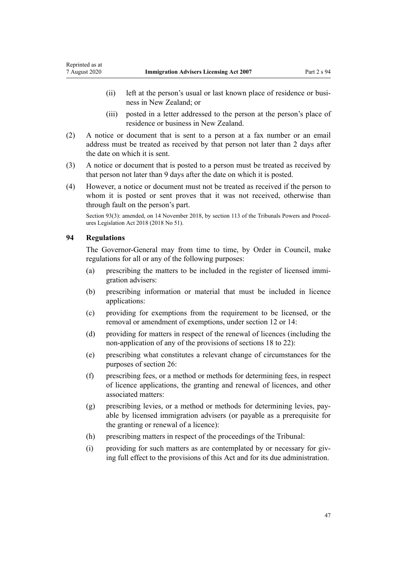- <span id="page-46-0"></span>(ii) left at the person's usual or last known place of residence or business in New Zealand; or
- (iii) posted in a letter addressed to the person at the person's place of residence or business in New Zealand.
- (2) A notice or document that is sent to a person at a fax number or an email address must be treated as received by that person not later than 2 days after the date on which it is sent.
- (3) A notice or document that is posted to a person must be treated as received by that person not later than 9 days after the date on which it is posted.
- (4) However, a notice or document must not be treated as received if the person to whom it is posted or sent proves that it was not received, otherwise than through fault on the person's part.

Section 93(3): amended, on 14 November 2018, by [section 113](http://legislation.govt.nz/pdflink.aspx?id=DLM7374330) of the Tribunals Powers and Procedures Legislation Act 2018 (2018 No 51).

## **94 Regulations**

The Governor-General may from time to time, by Order in Council, make regulations for all or any of the following purposes:

- (a) prescribing the matters to be included in the register of licensed immigration advisers:
- (b) prescribing information or material that must be included in licence applications:
- (c) providing for exemptions from the requirement to be licensed, or the removal or amendment of exemptions, under [section 12](#page-9-0) or [14:](#page-11-0)
- (d) providing for matters in respect of the renewal of licences (including the non-application of any of the provisions of [sections 18 to 22](#page-12-0)):
- (e) prescribing what constitutes a relevant change of circumstances for the purposes of [section 26](#page-15-0):
- (f) prescribing fees, or a method or methods for determining fees, in respect of licence applications, the granting and renewal of licences, and other associated matters:
- (g) prescribing levies, or a method or methods for determining levies, payable by licensed immigration advisers (or payable as a prerequisite for the granting or renewal of a licence):
- (h) prescribing matters in respect of the proceedings of the Tribunal:
- (i) providing for such matters as are contemplated by or necessary for giving full effect to the provisions of this Act and for its due administration.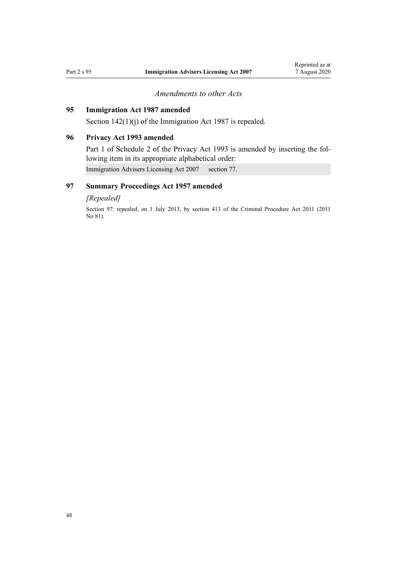## *Amendments to other Acts*

# <span id="page-47-0"></span>**95 Immigration Act 1987 amended**

Section  $142(1)(i)$  of the Immigration Act 1987 is repealed.

## **96 Privacy Act 1993 amended**

[Part 1](http://legislation.govt.nz/pdflink.aspx?id=DLM298477) of Schedule 2 of the Privacy Act 1993 is amended by inserting the following item in its appropriate alphabetical order:

Immigration Advisers Licensing Act 2007 section 77.

# **97 Summary Proceedings Act 1957 amended**

#### *[Repealed]*

Section 97: repealed, on 1 July 2013, by [section 413](http://legislation.govt.nz/pdflink.aspx?id=DLM3360714) of the Criminal Procedure Act 2011 (2011 No 81).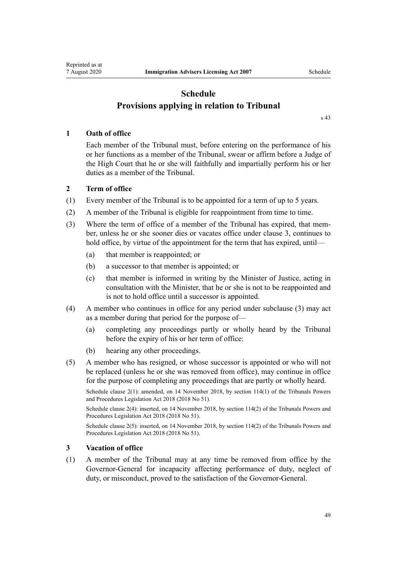# **Schedule Provisions applying in relation to Tribunal**

[s 43](#page-22-0)

## <span id="page-48-0"></span>**1 Oath of office**

Each member of the Tribunal must, before entering on the performance of his or her functions as a member of the Tribunal, swear or affirm before a Judge of the High Court that he or she will faithfully and impartially perform his or her duties as a member of the Tribunal.

## **2 Term of office**

- (1) Every member of the Tribunal is to be appointed for a term of up to 5 years.
- (2) A member of the Tribunal is eligible for reappointment from time to time.
- (3) Where the term of office of a member of the Tribunal has expired, that member, unless he or she sooner dies or vacates office under clause 3, continues to hold office, by virtue of the appointment for the term that has expired, until—
	- (a) that member is reappointed; or
	- (b) a successor to that member is appointed; or
	- (c) that member is informed in writing by the Minister of Justice, acting in consultation with the Minister, that he or she is not to be reappointed and is not to hold office until a successor is appointed.
- (4) A member who continues in office for any period under subclause (3) may act as a member during that period for the purpose of—
	- (a) completing any proceedings partly or wholly heard by the Tribunal before the expiry of his or her term of office:
	- (b) hearing any other proceedings.
- (5) A member who has resigned, or whose successor is appointed or who will not be replaced (unless he or she was removed from office), may continue in office for the purpose of completing any proceedings that are partly or wholly heard.

Schedule clause 2(1): amended, on 14 November 2018, by [section 114\(1\)](http://legislation.govt.nz/pdflink.aspx?id=DLM7374331) of the Tribunals Powers and Procedures Legislation Act 2018 (2018 No 51).

Schedule clause 2(4): inserted, on 14 November 2018, by [section 114\(2\)](http://legislation.govt.nz/pdflink.aspx?id=DLM7374331) of the Tribunals Powers and Procedures Legislation Act 2018 (2018 No 51).

Schedule clause 2(5): inserted, on 14 November 2018, by [section 114\(2\)](http://legislation.govt.nz/pdflink.aspx?id=DLM7374331) of the Tribunals Powers and Procedures Legislation Act 2018 (2018 No 51).

## **3 Vacation of office**

(1) A member of the Tribunal may at any time be removed from office by the Governor-General for incapacity affecting performance of duty, neglect of duty, or misconduct, proved to the satisfaction of the Governor-General.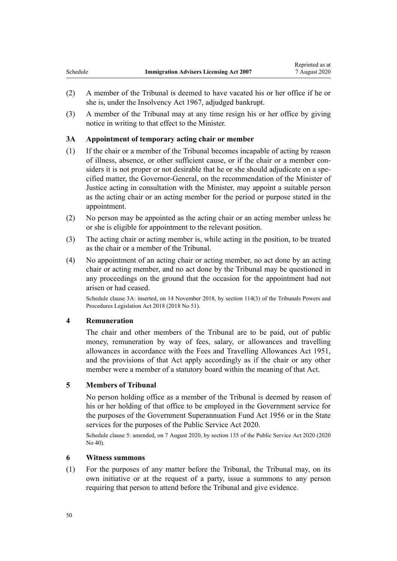- <span id="page-49-0"></span>(2) A member of the Tribunal is deemed to have vacated his or her office if he or she is, under the [Insolvency Act 1967,](http://legislation.govt.nz/pdflink.aspx?id=DLM382333) adjudged bankrupt.
- (3) A member of the Tribunal may at any time resign his or her office by giving notice in writing to that effect to the Minister.

## **3A Appointment of temporary acting chair or member**

- (1) If the chair or a member of the Tribunal becomes incapable of acting by reason of illness, absence, or other sufficient cause, or if the chair or a member considers it is not proper or not desirable that he or she should adjudicate on a specified matter, the Governor-General, on the recommendation of the Minister of Justice acting in consultation with the Minister, may appoint a suitable person as the acting chair or an acting member for the period or purpose stated in the appointment.
- (2) No person may be appointed as the acting chair or an acting member unless he or she is eligible for appointment to the relevant position.
- (3) The acting chair or acting member is, while acting in the position, to be treated as the chair or a member of the Tribunal.
- (4) No appointment of an acting chair or acting member, no act done by an acting chair or acting member, and no act done by the Tribunal may be questioned in any proceedings on the ground that the occasion for the appointment had not arisen or had ceased.

Schedule clause 3A: inserted, on 14 November 2018, by [section 114\(3\)](http://legislation.govt.nz/pdflink.aspx?id=DLM7374331) of the Tribunals Powers and Procedures Legislation Act 2018 (2018 No 51).

## **4 Remuneration**

The chair and other members of the Tribunal are to be paid, out of public money, remuneration by way of fees, salary, or allowances and travelling allowances in accordance with the [Fees and Travelling Allowances Act 1951](http://legislation.govt.nz/pdflink.aspx?id=DLM264952), and the provisions of that Act apply accordingly as if the chair or any other member were a member of a statutory board within the meaning of that Act.

## **5 Members of Tribunal**

No person holding office as a member of the Tribunal is deemed by reason of his or her holding of that office to be employed in the Government service for the purposes of the [Government Superannuation Fund Act 1956](http://legislation.govt.nz/pdflink.aspx?id=DLM446000) or in the State services for the purposes of the [Public Service Act 2020.](http://legislation.govt.nz/pdflink.aspx?id=LMS106157)

Schedule clause 5: amended, on 7 August 2020, by [section 135](http://legislation.govt.nz/pdflink.aspx?id=LMS176959) of the Public Service Act 2020 (2020 No 40).

## **6 Witness summons**

(1) For the purposes of any matter before the Tribunal, the Tribunal may, on its own initiative or at the request of a party, issue a summons to any person requiring that person to attend before the Tribunal and give evidence.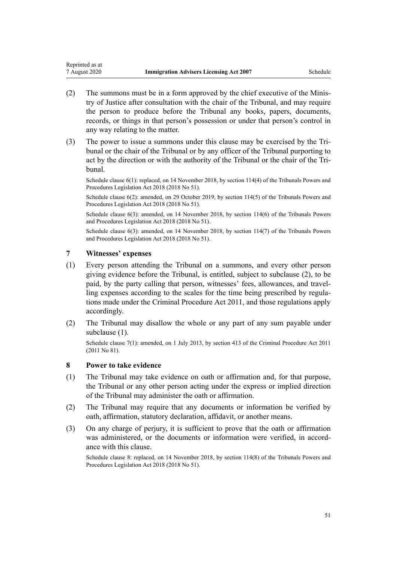- (2) The summons must be in a form approved by the chief executive of the Ministry of Justice after consultation with the chair of the Tribunal, and may require the person to produce before the Tribunal any books, papers, documents, records, or things in that person's possession or under that person's control in any way relating to the matter.
- (3) The power to issue a summons under this clause may be exercised by the Tribunal or the chair of the Tribunal or by any officer of the Tribunal purporting to act by the direction or with the authority of the Tribunal or the chair of the Tribunal.

Schedule clause 6(1): replaced, on 14 November 2018, by [section 114\(4\)](http://legislation.govt.nz/pdflink.aspx?id=DLM7374331) of the Tribunals Powers and Procedures Legislation Act 2018 (2018 No 51).

Schedule clause 6(2): amended, on 29 October 2019, by [section 114\(5\)](http://legislation.govt.nz/pdflink.aspx?id=DLM7374331) of the Tribunals Powers and Procedures Legislation Act 2018 (2018 No 51).

Schedule clause 6(3): amended, on 14 November 2018, by [section 114\(6\)](http://legislation.govt.nz/pdflink.aspx?id=DLM7374331) of the Tribunals Powers and Procedures Legislation Act 2018 (2018 No 51).

Schedule clause 6(3): amended, on 14 November 2018, by [section 114\(7\)](http://legislation.govt.nz/pdflink.aspx?id=DLM7374331) of the Tribunals Powers and Procedures Legislation Act 2018 (2018 No 51).

#### **7 Witnesses' expenses**

<span id="page-50-0"></span>Reprinted as at

- (1) Every person attending the Tribunal on a summons, and every other person giving evidence before the Tribunal, is entitled, subject to subclause (2), to be paid, by the party calling that person, witnesses' fees, allowances, and travelling expenses according to the scales for the time being prescribed by regulations made under the [Criminal Procedure Act 2011,](http://legislation.govt.nz/pdflink.aspx?id=DLM3359902) and those regulations apply accordingly.
- (2) The Tribunal may disallow the whole or any part of any sum payable under subclause (1).

Schedule clause 7(1): amended, on 1 July 2013, by [section 413](http://legislation.govt.nz/pdflink.aspx?id=DLM3360714) of the Criminal Procedure Act 2011 (2011 No 81).

## **8 Power to take evidence**

- (1) The Tribunal may take evidence on oath or affirmation and, for that purpose, the Tribunal or any other person acting under the express or implied direction of the Tribunal may administer the oath or affirmation.
- (2) The Tribunal may require that any documents or information be verified by oath, affirmation, statutory declaration, affidavit, or another means.
- (3) On any charge of perjury, it is sufficient to prove that the oath or affirmation was administered, or the documents or information were verified, in accordance with this clause.

Schedule clause 8: replaced, on 14 November 2018, by [section 114\(8\)](http://legislation.govt.nz/pdflink.aspx?id=DLM7374331) of the Tribunals Powers and Procedures Legislation Act 2018 (2018 No 51).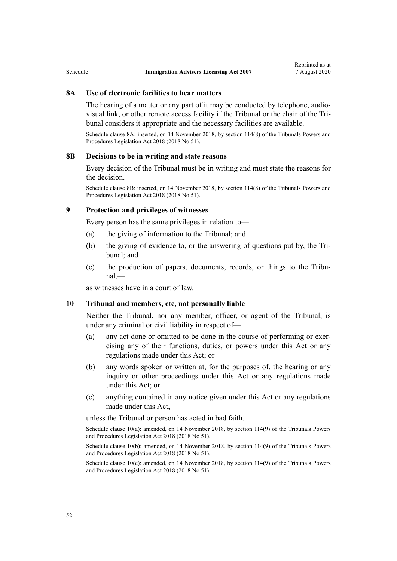#### **8A Use of electronic facilities to hear matters**

The hearing of a matter or any part of it may be conducted by telephone, audiovisual link, or other remote access facility if the Tribunal or the chair of the Tribunal considers it appropriate and the necessary facilities are available.

Schedule clause 8A: inserted, on 14 November 2018, by [section 114\(8\)](http://legislation.govt.nz/pdflink.aspx?id=DLM7374331) of the Tribunals Powers and Procedures Legislation Act 2018 (2018 No 51).

## **8B Decisions to be in writing and state reasons**

Every decision of the Tribunal must be in writing and must state the reasons for the decision.

Schedule clause 8B: inserted, on 14 November 2018, by [section 114\(8\)](http://legislation.govt.nz/pdflink.aspx?id=DLM7374331) of the Tribunals Powers and Procedures Legislation Act 2018 (2018 No 51).

#### **9 Protection and privileges of witnesses**

Every person has the same privileges in relation to—

- (a) the giving of information to the Tribunal; and
- (b) the giving of evidence to, or the answering of questions put by, the Tribunal; and
- (c) the production of papers, documents, records, or things to the Tribunal,—

as witnesses have in a court of law.

#### **10 Tribunal and members, etc, not personally liable**

Neither the Tribunal, nor any member, officer, or agent of the Tribunal, is under any criminal or civil liability in respect of—

- (a) any act done or omitted to be done in the course of performing or exercising any of their functions, duties, or powers under this Act or any regulations made under this Act; or
- (b) any words spoken or written at, for the purposes of, the hearing or any inquiry or other proceedings under this Act or any regulations made under this Act; or
- (c) anything contained in any notice given under this Act or any regulations made under this Act,—

unless the Tribunal or person has acted in bad faith.

Schedule clause 10(a): amended, on 14 November 2018, by [section 114\(9\)](http://legislation.govt.nz/pdflink.aspx?id=DLM7374331) of the Tribunals Powers and Procedures Legislation Act 2018 (2018 No 51).

Schedule clause 10(b): amended, on 14 November 2018, by [section 114\(9\)](http://legislation.govt.nz/pdflink.aspx?id=DLM7374331) of the Tribunals Powers and Procedures Legislation Act 2018 (2018 No 51).

Schedule clause 10(c): amended, on 14 November 2018, by [section 114\(9\)](http://legislation.govt.nz/pdflink.aspx?id=DLM7374331) of the Tribunals Powers and Procedures Legislation Act 2018 (2018 No 51).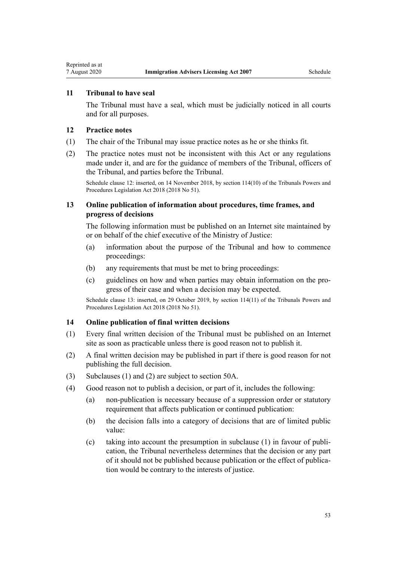## <span id="page-52-0"></span>**11 Tribunal to have seal**

The Tribunal must have a seal, which must be judicially noticed in all courts and for all purposes.

#### **12 Practice notes**

- (1) The chair of the Tribunal may issue practice notes as he or she thinks fit.
- (2) The practice notes must not be inconsistent with this Act or any regulations made under it, and are for the guidance of members of the Tribunal, officers of the Tribunal, and parties before the Tribunal.

Schedule clause 12: inserted, on 14 November 2018, by [section 114\(10\)](http://legislation.govt.nz/pdflink.aspx?id=DLM7374331) of the Tribunals Powers and Procedures Legislation Act 2018 (2018 No 51).

## **13 Online publication of information about procedures, time frames, and progress of decisions**

The following information must be published on an Internet site maintained by or on behalf of the chief executive of the Ministry of Justice:

- (a) information about the purpose of the Tribunal and how to commence proceedings:
- (b) any requirements that must be met to bring proceedings:
- (c) guidelines on how and when parties may obtain information on the progress of their case and when a decision may be expected.

Schedule clause 13: inserted, on 29 October 2019, by [section 114\(11\)](http://legislation.govt.nz/pdflink.aspx?id=DLM7374331) of the Tribunals Powers and Procedures Legislation Act 2018 (2018 No 51).

## **14 Online publication of final written decisions**

- (1) Every final written decision of the Tribunal must be published on an Internet site as soon as practicable unless there is good reason not to publish it.
- (2) A final written decision may be published in part if there is good reason for not publishing the full decision.
- (3) Subclauses (1) and (2) are subject to [section 50A.](#page-25-0)
- (4) Good reason not to publish a decision, or part of it, includes the following:
	- (a) non-publication is necessary because of a suppression order or statutory requirement that affects publication or continued publication:
	- (b) the decision falls into a category of decisions that are of limited public value:
	- (c) taking into account the presumption in subclause (1) in favour of publication, the Tribunal nevertheless determines that the decision or any part of it should not be published because publication or the effect of publication would be contrary to the interests of justice.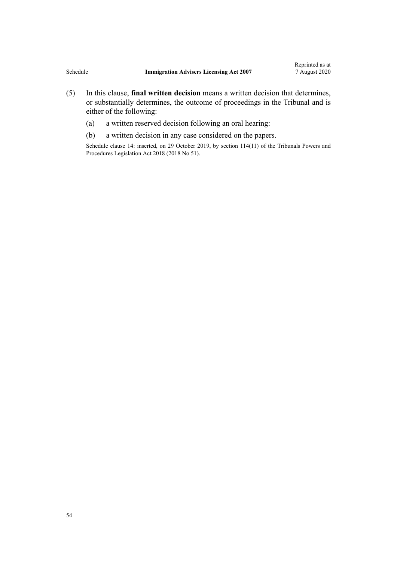- (5) In this clause, **final written decision** means a written decision that determines, or substantially determines, the outcome of proceedings in the Tribunal and is either of the following:
	- (a) a written reserved decision following an oral hearing:
	- (b) a written decision in any case considered on the papers.

Schedule clause 14: inserted, on 29 October 2019, by [section 114\(11\)](http://legislation.govt.nz/pdflink.aspx?id=DLM7374331) of the Tribunals Powers and Procedures Legislation Act 2018 (2018 No 51).